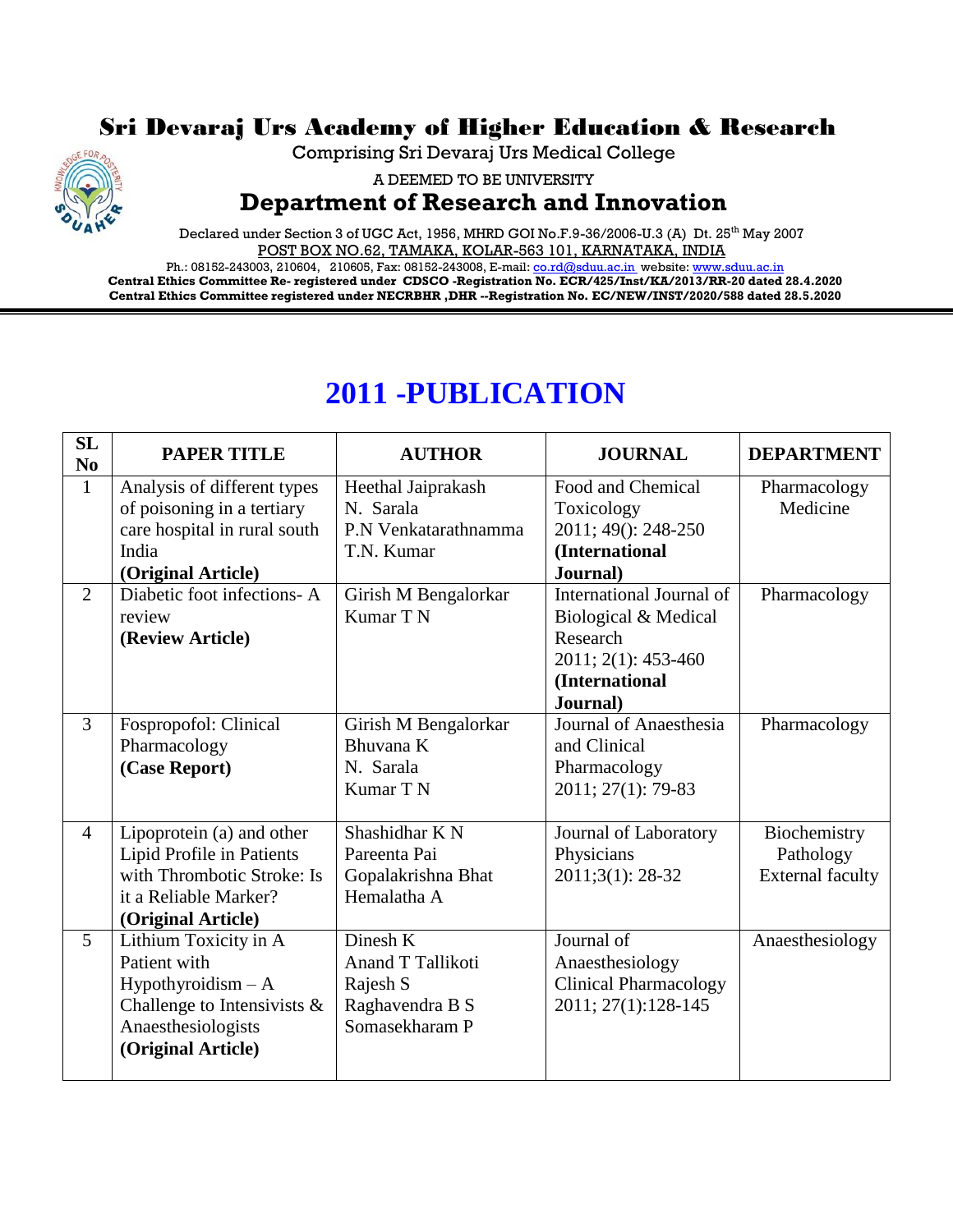## Sri Devaraj Urs Academy of Higher Education & Research



Comprising Sri Devaraj Urs Medical College

A DEEMED TO BE UNIVERSITY

## **Department of Research and Innovation**

Declared under Section 3 of UGC Act, 1956, MHRD GOI No.F.9-36/2006-U.3 (A) Dt. 25<sup>th</sup> May 2007 POST BOX NO.62, TAMAKA, KOLAR-563 101, KARNATAKA, INDIA

Ph.: 08152-243003, 210604, 210605, Fax: 08152-243008, E-mail[: co.rd@sduu.ac.in](mailto:co.rd@sduu.ac.in) website[: www.sduu.ac.in](http://www.sduu.ac.in/) **Central Ethics Committee Re- registered under CDSCO -Registration No. ECR/425/Inst/KA/2013/RR-20 dated 28.4.2020 Central Ethics Committee registered under NECRBHR ,DHR --Registration No. EC/NEW/INST/2020/588 dated 28.5.2020**

## **2011 -PUBLICATION**

| SL<br>N <sub>0</sub> | <b>PAPER TITLE</b>             | <b>AUTHOR</b>        | <b>JOURNAL</b>               | <b>DEPARTMENT</b>       |
|----------------------|--------------------------------|----------------------|------------------------------|-------------------------|
| $\mathbf{1}$         | Analysis of different types    | Heethal Jaiprakash   | Food and Chemical            | Pharmacology            |
|                      | of poisoning in a tertiary     | N. Sarala            | Toxicology                   | Medicine                |
|                      | care hospital in rural south   | P.N Venkatarathnamma | 2011; 49(): 248-250          |                         |
|                      | India                          | T.N. Kumar           | (International               |                         |
|                      | (Original Article)             |                      | Journal)                     |                         |
| $\overline{2}$       | Diabetic foot infections-A     | Girish M Bengalorkar | International Journal of     | Pharmacology            |
|                      | review                         | Kumar T N            | Biological & Medical         |                         |
|                      | (Review Article)               |                      | Research                     |                         |
|                      |                                |                      | 2011; 2(1): 453-460          |                         |
|                      |                                |                      | (International               |                         |
|                      |                                |                      | Journal)                     |                         |
| $\overline{3}$       | Fospropofol: Clinical          | Girish M Bengalorkar | Journal of Anaesthesia       | Pharmacology            |
|                      | Pharmacology                   | Bhuvana K            | and Clinical                 |                         |
|                      | (Case Report)                  | N. Sarala            | Pharmacology                 |                         |
|                      |                                | Kumar T N            | 2011; 27(1): 79-83           |                         |
|                      |                                |                      |                              |                         |
| $\overline{4}$       | Lipoprotein (a) and other      | Shashidhar K N       | Journal of Laboratory        | Biochemistry            |
|                      | Lipid Profile in Patients      | Pareenta Pai         | Physicians                   | Pathology               |
|                      | with Thrombotic Stroke: Is     | Gopalakrishna Bhat   | $2011;3(1):28-32$            | <b>External faculty</b> |
|                      | it a Reliable Marker?          | Hemalatha A          |                              |                         |
|                      | (Original Article)             |                      |                              |                         |
| $\overline{5}$       | Lithium Toxicity in A          | Dinesh K             | Journal of                   | Anaesthesiology         |
|                      | Patient with                   | Anand T Tallikoti    | Anaesthesiology              |                         |
|                      | $Hypothyroidism - A$           | Rajesh S             | <b>Clinical Pharmacology</b> |                         |
|                      | Challenge to Intensivists $\&$ | Raghavendra B S      | 2011; 27(1):128-145          |                         |
|                      | Anaesthesiologists             | Somasekharam P       |                              |                         |
|                      | (Original Article)             |                      |                              |                         |
|                      |                                |                      |                              |                         |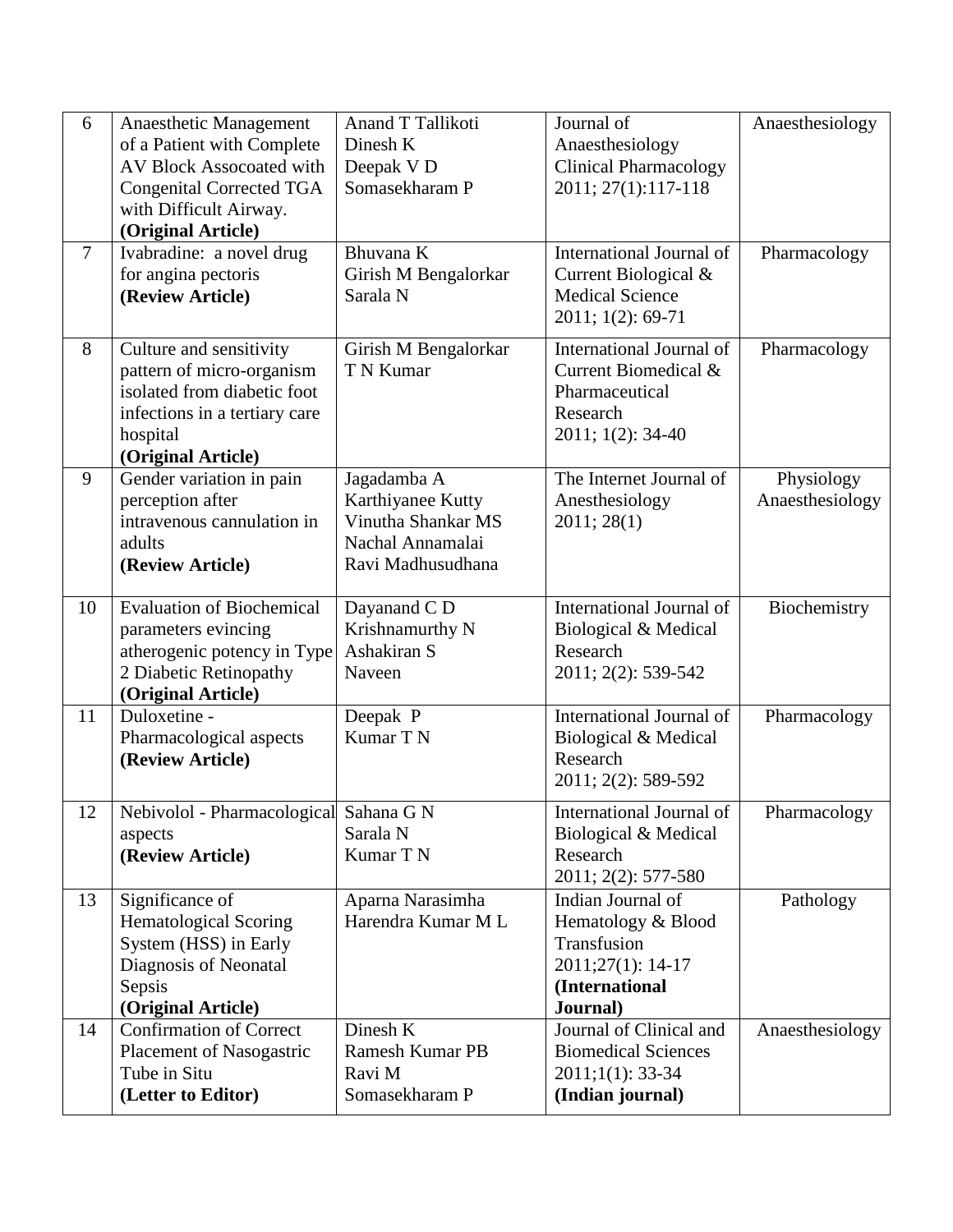| 6              | Anaesthetic Management                   | Anand T Tallikoti                  | Journal of                      | Anaesthesiology |
|----------------|------------------------------------------|------------------------------------|---------------------------------|-----------------|
|                | of a Patient with Complete               | Dinesh K                           | Anaesthesiology                 |                 |
|                | AV Block Assocoated with                 | Deepak V D                         | <b>Clinical Pharmacology</b>    |                 |
|                | <b>Congenital Corrected TGA</b>          | Somasekharam P                     | 2011; 27(1):117-118             |                 |
|                | with Difficult Airway.                   |                                    |                                 |                 |
|                | (Original Article)                       |                                    |                                 |                 |
| $\overline{7}$ | Ivabradine: a novel drug                 | Bhuvana K                          | International Journal of        | Pharmacology    |
|                | for angina pectoris                      | Girish M Bengalorkar               | Current Biological &            |                 |
|                | (Review Article)                         | Sarala N                           | <b>Medical Science</b>          |                 |
|                |                                          |                                    | 2011; 1(2): 69-71               |                 |
| 8              | Culture and sensitivity                  | Girish M Bengalorkar               | <b>International Journal of</b> | Pharmacology    |
|                | pattern of micro-organism                | T N Kumar                          | Current Biomedical &            |                 |
|                | isolated from diabetic foot              |                                    | Pharmaceutical                  |                 |
|                | infections in a tertiary care            |                                    | Research                        |                 |
|                | hospital                                 |                                    | 2011; 1(2): 34-40               |                 |
|                | (Original Article)                       |                                    |                                 |                 |
| 9              | Gender variation in pain                 | Jagadamba A                        | The Internet Journal of         | Physiology      |
|                | perception after                         | Karthiyanee Kutty                  | Anesthesiology                  | Anaesthesiology |
|                | intravenous cannulation in               | Vinutha Shankar MS                 | 2011; 28(1)                     |                 |
|                | adults                                   | Nachal Annamalai                   |                                 |                 |
|                | (Review Article)                         | Ravi Madhusudhana                  |                                 |                 |
|                |                                          |                                    |                                 |                 |
| 10             | <b>Evaluation of Biochemical</b>         | Dayanand C D                       | International Journal of        | Biochemistry    |
|                | parameters evincing                      | Krishnamurthy N                    | Biological & Medical            |                 |
|                | atherogenic potency in Type              | Ashakiran S                        | Research                        |                 |
|                | 2 Diabetic Retinopathy                   | Naveen                             | 2011; 2(2): 539-542             |                 |
|                | (Original Article)                       |                                    |                                 |                 |
| 11             | Duloxetine -                             | Deepak P                           | International Journal of        | Pharmacology    |
|                | Pharmacological aspects                  | Kumar T N                          | Biological & Medical            |                 |
|                | (Review Article)                         |                                    | Research                        |                 |
|                |                                          |                                    | 2011; 2(2): 589-592             |                 |
| 12             | Nebivolol - Pharmacological              | Sahana G N                         | International Journal of        | Pharmacology    |
|                | aspects                                  | Sarala N                           | Biological & Medical            |                 |
|                | (Review Article)                         | Kumar T N                          | Research                        |                 |
|                |                                          |                                    | 2011; 2(2): 577-580             |                 |
| 13             | Significance of                          | Aparna Narasimha                   | Indian Journal of               | Pathology       |
|                | <b>Hematological Scoring</b>             | Harendra Kumar M L                 | Hematology & Blood              |                 |
|                | System (HSS) in Early                    |                                    | Transfusion                     |                 |
|                | Diagnosis of Neonatal                    |                                    | 2011;27(1): 14-17               |                 |
|                | Sepsis                                   |                                    | (International                  |                 |
|                | (Original Article)                       |                                    | Journal)                        |                 |
| 14             | <b>Confirmation of Correct</b>           | Dinesh K<br><b>Ramesh Kumar PB</b> | Journal of Clinical and         | Anaesthesiology |
|                | Placement of Nasogastric<br>Tube in Situ | Ravi M                             | <b>Biomedical Sciences</b>      |                 |
|                |                                          | Somasekharam P                     | $2011;1(1):$ 33-34              |                 |
|                | (Letter to Editor)                       |                                    | (Indian journal)                |                 |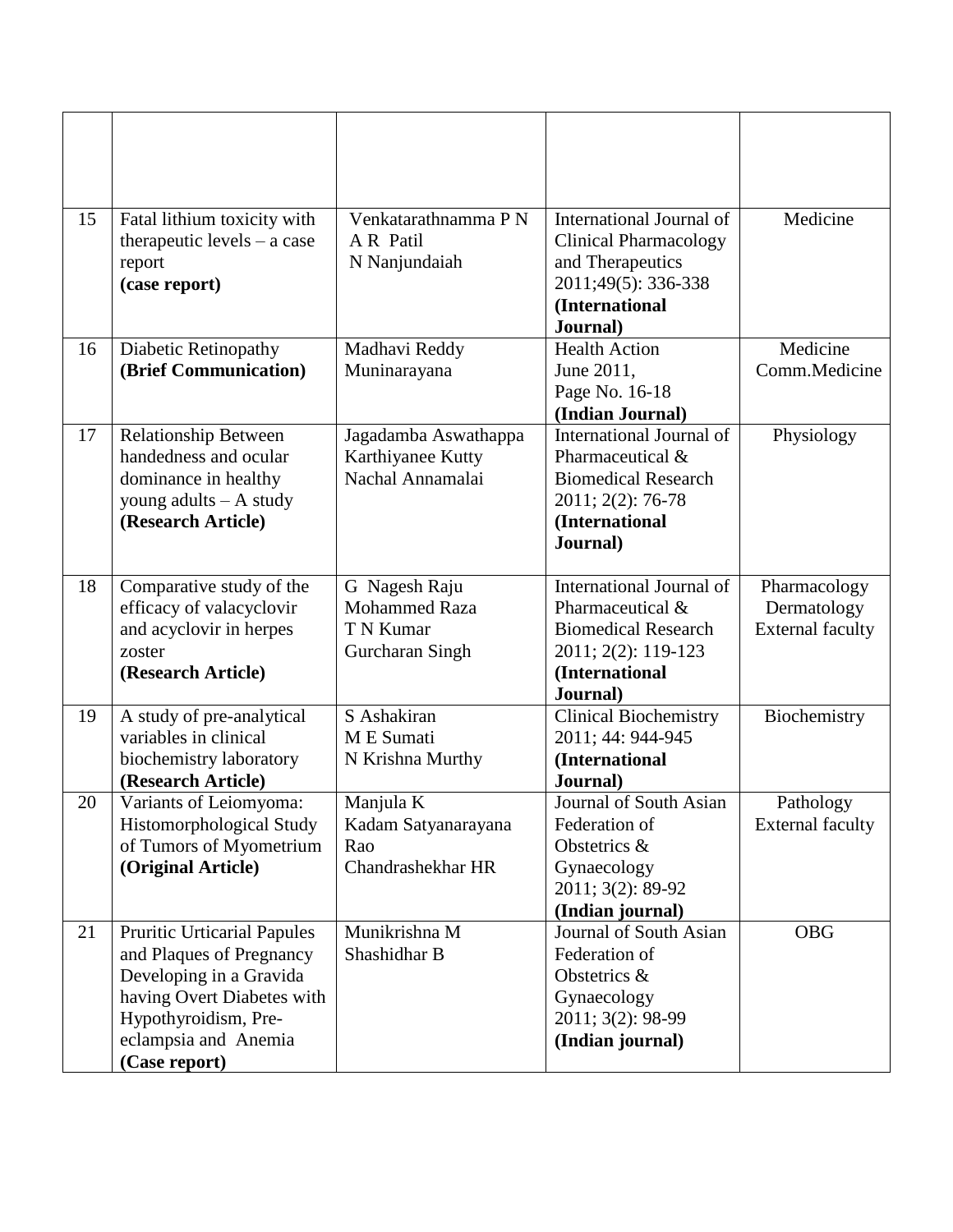| 15 | Fatal lithium toxicity with<br>therapeutic levels $-$ a case<br>report<br>(case report)                                                                                                  | Venkatarathnamma PN<br>A R Patil<br>N Nanjundaiah                     | International Journal of<br><b>Clinical Pharmacology</b><br>and Therapeutics<br>2011;49(5): 336-338<br>(International<br>Journal) | Medicine                                               |
|----|------------------------------------------------------------------------------------------------------------------------------------------------------------------------------------------|-----------------------------------------------------------------------|-----------------------------------------------------------------------------------------------------------------------------------|--------------------------------------------------------|
| 16 | Diabetic Retinopathy<br>(Brief Communication)                                                                                                                                            | Madhavi Reddy<br>Muninarayana                                         | <b>Health Action</b><br>June 2011,<br>Page No. 16-18<br>(Indian Journal)                                                          | Medicine<br>Comm.Medicine                              |
| 17 | <b>Relationship Between</b><br>handedness and ocular<br>dominance in healthy<br>young adults - A study<br>(Research Article)                                                             | Jagadamba Aswathappa<br>Karthiyanee Kutty<br>Nachal Annamalai         | International Journal of<br>Pharmaceutical &<br><b>Biomedical Research</b><br>2011; 2(2): 76-78<br>(International<br>Journal)     | Physiology                                             |
| 18 | Comparative study of the<br>efficacy of valacyclovir<br>and acyclovir in herpes<br>zoster<br>(Research Article)                                                                          | G Nagesh Raju<br><b>Mohammed Raza</b><br>T N Kumar<br>Gurcharan Singh | International Journal of<br>Pharmaceutical &<br><b>Biomedical Research</b><br>2011; 2(2): 119-123<br>(International<br>Journal)   | Pharmacology<br>Dermatology<br><b>External faculty</b> |
| 19 | A study of pre-analytical<br>variables in clinical<br>biochemistry laboratory<br>(Research Article)                                                                                      | S Ashakiran<br>M E Sumati<br>N Krishna Murthy                         | <b>Clinical Biochemistry</b><br>2011; 44: 944-945<br>(International<br>Journal)                                                   | Biochemistry                                           |
| 20 | Variants of Leiomyoma:<br><b>Histomorphological Study</b><br>of Tumors of Myometrium<br>(Original Article)                                                                               | Manjula K<br>Kadam Satyanarayana<br>Rao<br>Chandrashekhar HR          | Journal of South Asian<br>Federation of<br>Obstetrics &<br>Gynaecology<br>2011; 3(2): 89-92<br>(Indian journal)                   | Pathology<br><b>External faculty</b>                   |
| 21 | <b>Pruritic Urticarial Papules</b><br>and Plaques of Pregnancy<br>Developing in a Gravida<br>having Overt Diabetes with<br>Hypothyroidism, Pre-<br>eclampsia and Anemia<br>(Case report) | Munikrishna M<br>Shashidhar B                                         | Journal of South Asian<br>Federation of<br>Obstetrics &<br>Gynaecology<br>2011; 3(2): 98-99<br>(Indian journal)                   | <b>OBG</b>                                             |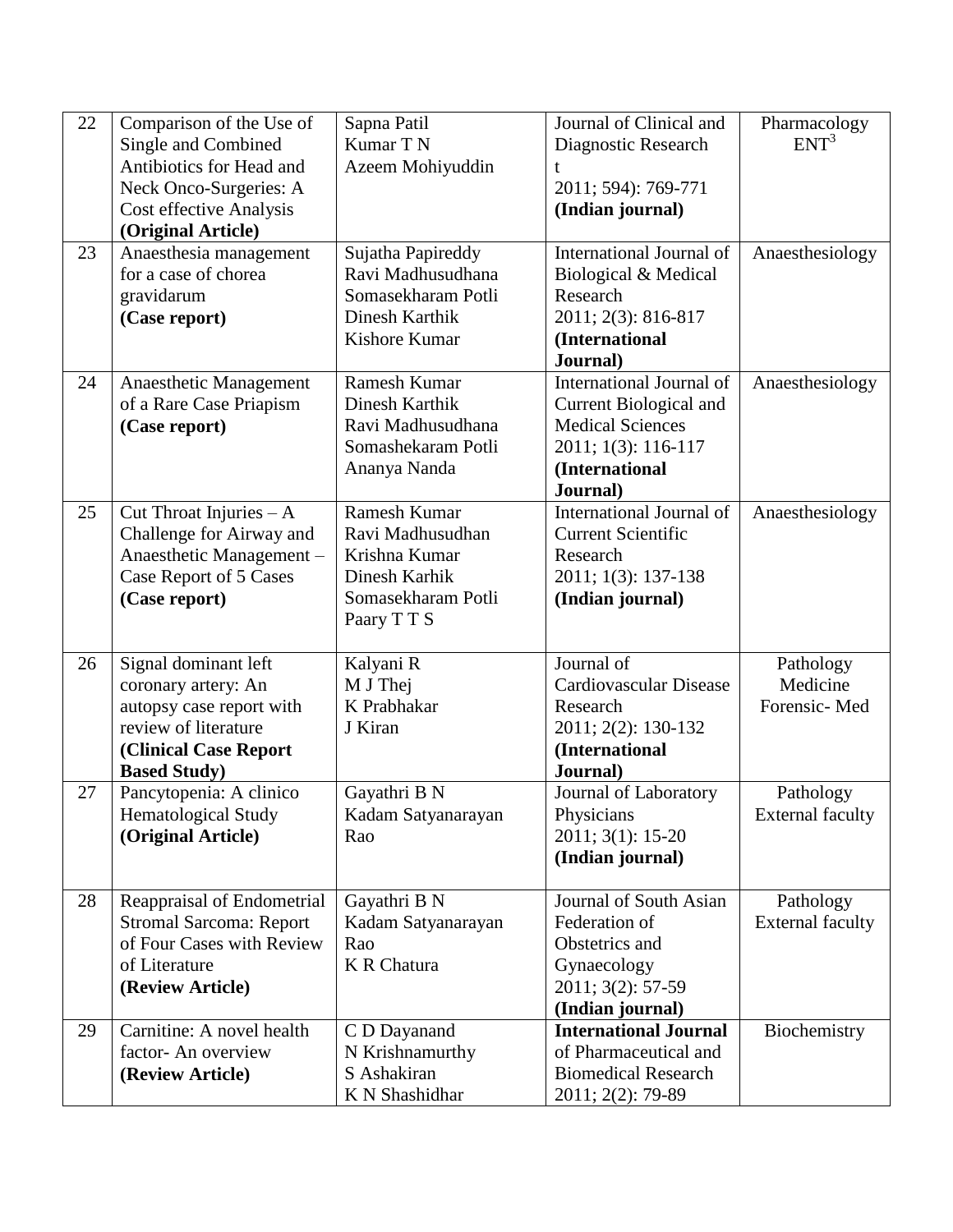| 22 | Comparison of the Use of       | Sapna Patil        | Journal of Clinical and       | Pharmacology            |
|----|--------------------------------|--------------------|-------------------------------|-------------------------|
|    | Single and Combined            | Kumar T N          | Diagnostic Research           | ENT <sup>3</sup>        |
|    | Antibiotics for Head and       | Azeem Mohiyuddin   | t                             |                         |
|    | Neck Onco-Surgeries: A         |                    | 2011; 594): 769-771           |                         |
|    | Cost effective Analysis        |                    | (Indian journal)              |                         |
|    | (Original Article)             |                    |                               |                         |
| 23 | Anaesthesia management         | Sujatha Papireddy  | International Journal of      | Anaesthesiology         |
|    | for a case of chorea           | Ravi Madhusudhana  | Biological & Medical          |                         |
|    | gravidarum                     | Somasekharam Potli | Research                      |                         |
|    | (Case report)                  | Dinesh Karthik     | 2011; 2(3): 816-817           |                         |
|    |                                | Kishore Kumar      | (International                |                         |
|    |                                |                    | Journal)                      |                         |
| 24 | Anaesthetic Management         | Ramesh Kumar       | International Journal of      | Anaesthesiology         |
|    | of a Rare Case Priapism        | Dinesh Karthik     | Current Biological and        |                         |
|    | (Case report)                  | Ravi Madhusudhana  | <b>Medical Sciences</b>       |                         |
|    |                                | Somashekaram Potli | 2011; 1(3): 116-117           |                         |
|    |                                | Ananya Nanda       | (International                |                         |
|    |                                |                    | Journal)                      |                         |
| 25 | Cut Throat Injuries - A        | Ramesh Kumar       | International Journal of      | Anaesthesiology         |
|    | Challenge for Airway and       | Ravi Madhusudhan   | <b>Current Scientific</b>     |                         |
|    | Anaesthetic Management -       | Krishna Kumar      | Research                      |                         |
|    | Case Report of 5 Cases         | Dinesh Karhik      | 2011; 1(3): 137-138           |                         |
|    | (Case report)                  | Somasekharam Potli | (Indian journal)              |                         |
|    |                                | Paary TTS          |                               |                         |
| 26 | Signal dominant left           | Kalyani R          | Journal of                    | Pathology               |
|    | coronary artery: An            | M J Thej           | <b>Cardiovascular Disease</b> | Medicine                |
|    | autopsy case report with       | K Prabhakar        | Research                      | Forensic-Med            |
|    | review of literature           | J Kiran            | 2011; 2(2): 130-132           |                         |
|    | <b>(Clinical Case Report</b>   |                    | (International                |                         |
|    | <b>Based Study</b> )           |                    | Journal)                      |                         |
| 27 | Pancytopenia: A clinico        | Gayathri B N       | Journal of Laboratory         | Pathology               |
|    | <b>Hematological Study</b>     | Kadam Satyanarayan | Physicians                    | <b>External faculty</b> |
|    | (Original Article)             | Rao                | 2011; 3(1): 15-20             |                         |
|    |                                |                    | (Indian journal)              |                         |
|    |                                |                    |                               |                         |
| 28 | Reappraisal of Endometrial     | Gayathri B N       | Journal of South Asian        | Pathology               |
|    | <b>Stromal Sarcoma: Report</b> | Kadam Satyanarayan | Federation of                 | <b>External faculty</b> |
|    | of Four Cases with Review      | Rao                | Obstetrics and                |                         |
|    | of Literature                  | <b>K R Chatura</b> | Gynaecology                   |                         |
|    | (Review Article)               |                    | 2011; 3(2): 57-59             |                         |
|    |                                |                    | (Indian journal)              |                         |
| 29 | Carnitine: A novel health      | C D Dayanand       | <b>International Journal</b>  | Biochemistry            |
|    | factor-An overview             | N Krishnamurthy    | of Pharmaceutical and         |                         |
|    | (Review Article)               | S Ashakiran        | <b>Biomedical Research</b>    |                         |
|    |                                | K N Shashidhar     | 2011; 2(2): 79-89             |                         |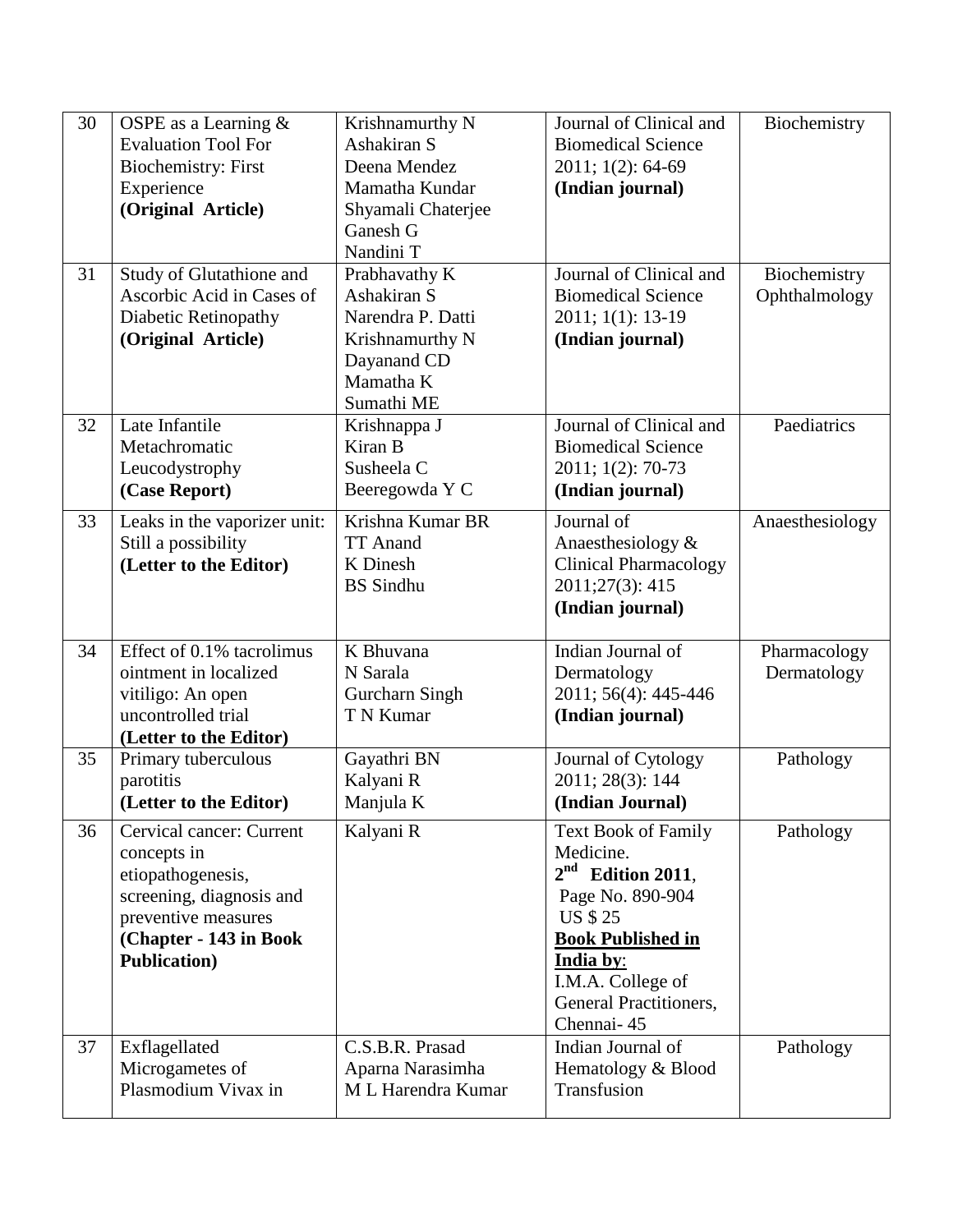| 30 | OSPE as a Learning $&$       | Krishnamurthy N       | Journal of Clinical and      | Biochemistry    |
|----|------------------------------|-----------------------|------------------------------|-----------------|
|    | <b>Evaluation Tool For</b>   | Ashakiran S           | <b>Biomedical Science</b>    |                 |
|    | <b>Biochemistry: First</b>   | Deena Mendez          | 2011; 1(2): 64-69            |                 |
|    | Experience                   | Mamatha Kundar        | (Indian journal)             |                 |
|    | (Original Article)           | Shyamali Chaterjee    |                              |                 |
|    |                              | Ganesh G              |                              |                 |
|    |                              | Nandini T             |                              |                 |
| 31 | Study of Glutathione and     | Prabhavathy K         | Journal of Clinical and      | Biochemistry    |
|    | Ascorbic Acid in Cases of    | Ashakiran S           | <b>Biomedical Science</b>    | Ophthalmology   |
|    | Diabetic Retinopathy         | Narendra P. Datti     | 2011; 1(1): 13-19            |                 |
|    | (Original Article)           | Krishnamurthy N       | (Indian journal)             |                 |
|    |                              | Dayanand CD           |                              |                 |
|    |                              | Mamatha K             |                              |                 |
|    |                              | Sumathi ME            |                              |                 |
| 32 | Late Infantile               | Krishnappa J          | Journal of Clinical and      | Paediatrics     |
|    | Metachromatic                | Kiran B               | <b>Biomedical Science</b>    |                 |
|    | Leucodystrophy               | Susheela C            | 2011; 1(2): 70-73            |                 |
|    | (Case Report)                | Beeregowda Y C        | (Indian journal)             |                 |
| 33 | Leaks in the vaporizer unit: | Krishna Kumar BR      | Journal of                   | Anaesthesiology |
|    | Still a possibility          | <b>TT</b> Anand       | Anaesthesiology &            |                 |
|    | (Letter to the Editor)       | K Dinesh              | <b>Clinical Pharmacology</b> |                 |
|    |                              | <b>BS</b> Sindhu      | 2011;27(3): 415              |                 |
|    |                              |                       | (Indian journal)             |                 |
|    |                              |                       |                              |                 |
| 34 | Effect of 0.1% tacrolimus    | K Bhuvana             | Indian Journal of            | Pharmacology    |
|    | ointment in localized        | N Sarala              | Dermatology                  | Dermatology     |
|    | vitiligo: An open            | <b>Gurcharn Singh</b> | 2011; 56(4): 445-446         |                 |
|    | uncontrolled trial           | T N Kumar             | (Indian journal)             |                 |
|    | (Letter to the Editor)       |                       |                              |                 |
| 35 | Primary tuberculous          | Gayathri BN           | Journal of Cytology          | Pathology       |
|    | parotitis                    | Kalyani R             | 2011; 28(3): 144             |                 |
|    | (Letter to the Editor)       | Manjula K             | (Indian Journal)             |                 |
| 36 | Cervical cancer: Current     | Kalyani R             | <b>Text Book of Family</b>   | Pathology       |
|    | concepts in                  |                       | Medicine.                    |                 |
|    | etiopathogenesis,            |                       | $2nd$ Edition 2011,          |                 |
|    | screening, diagnosis and     |                       | Page No. 890-904             |                 |
|    | preventive measures          |                       | <b>US \$ 25</b>              |                 |
|    | (Chapter - 143 in Book       |                       | <b>Book Published in</b>     |                 |
|    | <b>Publication</b> )         |                       | India by:                    |                 |
|    |                              |                       | I.M.A. College of            |                 |
|    |                              |                       | General Practitioners,       |                 |
|    |                              |                       | Chennai-45                   |                 |
| 37 | Exflagellated                | C.S.B.R. Prasad       | Indian Journal of            | Pathology       |
|    | Microgametes of              | Aparna Narasimha      | Hematology & Blood           |                 |
|    | Plasmodium Vivax in          | M L Harendra Kumar    | Transfusion                  |                 |
|    |                              |                       |                              |                 |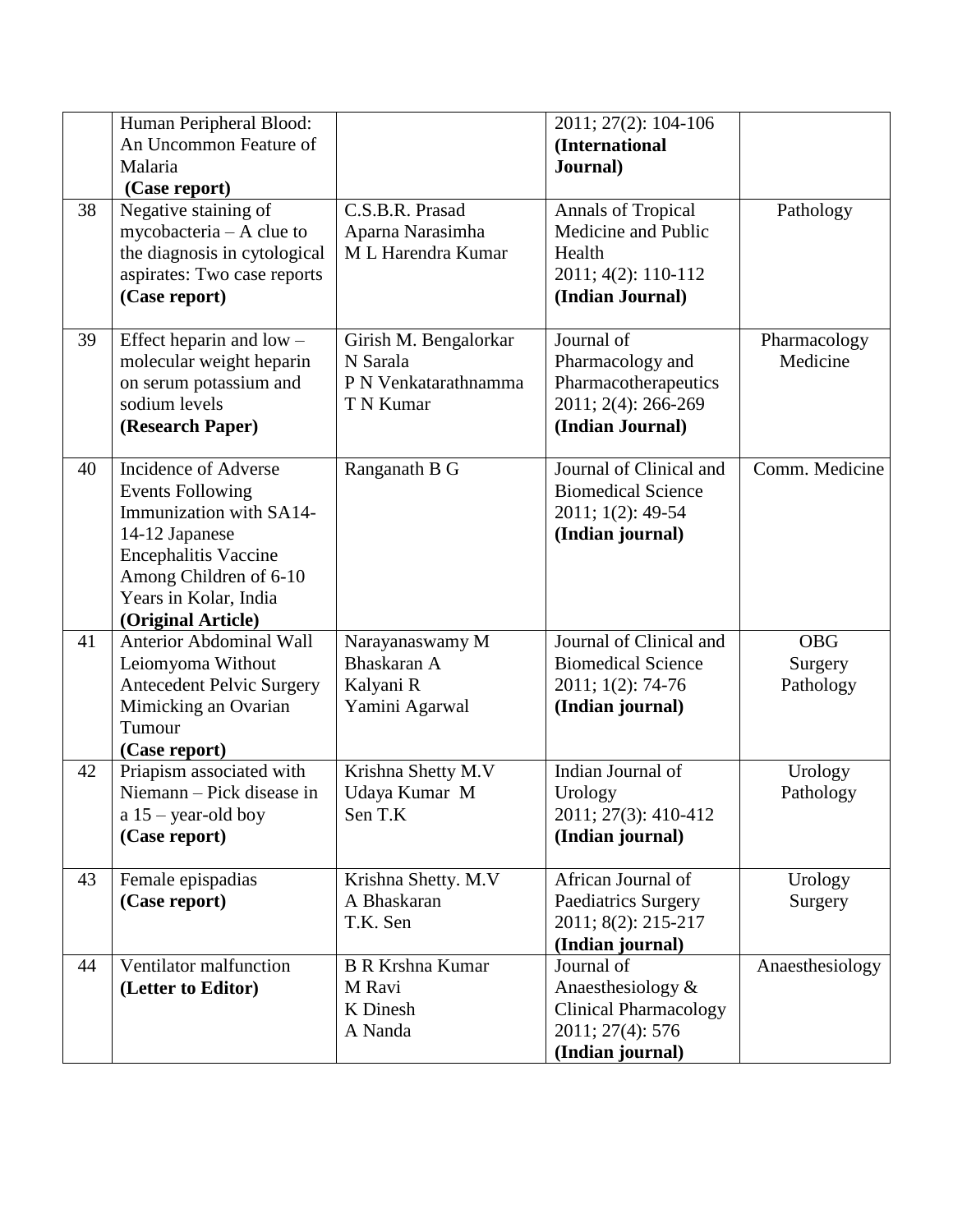|    | Human Peripheral Blood:<br>An Uncommon Feature of<br>Malaria<br>(Case report)                                                                                                                        |                                                                        | 2011; 27(2): 104-106<br>(International<br>Journal)                                                      |                                    |
|----|------------------------------------------------------------------------------------------------------------------------------------------------------------------------------------------------------|------------------------------------------------------------------------|---------------------------------------------------------------------------------------------------------|------------------------------------|
| 38 | Negative staining of<br>mycobacteria - A clue to<br>the diagnosis in cytological<br>aspirates: Two case reports<br>(Case report)                                                                     | C.S.B.R. Prasad<br>Aparna Narasimha<br>M L Harendra Kumar              | <b>Annals of Tropical</b><br>Medicine and Public<br>Health<br>2011; 4(2): 110-112<br>(Indian Journal)   | Pathology                          |
| 39 | Effect heparin and $low$ –<br>molecular weight heparin<br>on serum potassium and<br>sodium levels<br>(Research Paper)                                                                                | Girish M. Bengalorkar<br>N Sarala<br>P N Venkatarathnamma<br>T N Kumar | Journal of<br>Pharmacology and<br>Pharmacotherapeutics<br>2011; 2(4): 266-269<br>(Indian Journal)       | Pharmacology<br>Medicine           |
| 40 | Incidence of Adverse<br><b>Events Following</b><br>Immunization with SA14-<br>14-12 Japanese<br><b>Encephalitis Vaccine</b><br>Among Children of 6-10<br>Years in Kolar, India<br>(Original Article) | Ranganath B G                                                          | Journal of Clinical and<br><b>Biomedical Science</b><br>2011; 1(2): 49-54<br>(Indian journal)           | Comm. Medicine                     |
| 41 | <b>Anterior Abdominal Wall</b><br>Leiomyoma Without<br><b>Antecedent Pelvic Surgery</b><br>Mimicking an Ovarian<br>Tumour<br>(Case report)                                                           | Narayanaswamy M<br>Bhaskaran A<br>Kalyani R<br>Yamini Agarwal          | Journal of Clinical and<br><b>Biomedical Science</b><br>2011; 1(2): 74-76<br>(Indian journal)           | <b>OBG</b><br>Surgery<br>Pathology |
| 42 | Priapism associated with<br>Niemann - Pick disease in<br>$a 15 - year$ -old boy<br>(Case report)                                                                                                     | Krishna Shetty M.V<br>Udaya Kumar M<br>Sen T.K                         | Indian Journal of<br>Urology<br>2011; 27(3): 410-412<br>(Indian journal)                                | Urology<br>Pathology               |
| 43 | Female epispadias<br>(Case report)                                                                                                                                                                   | Krishna Shetty. M.V<br>A Bhaskaran<br>T.K. Sen                         | African Journal of<br>Paediatrics Surgery<br>2011; 8(2): 215-217<br>(Indian journal)                    | Urology<br>Surgery                 |
| 44 | Ventilator malfunction<br>(Letter to Editor)                                                                                                                                                         | <b>B R Krshna Kumar</b><br>M Ravi<br>K Dinesh<br>A Nanda               | Journal of<br>Anaesthesiology &<br><b>Clinical Pharmacology</b><br>2011; 27(4): 576<br>(Indian journal) | Anaesthesiology                    |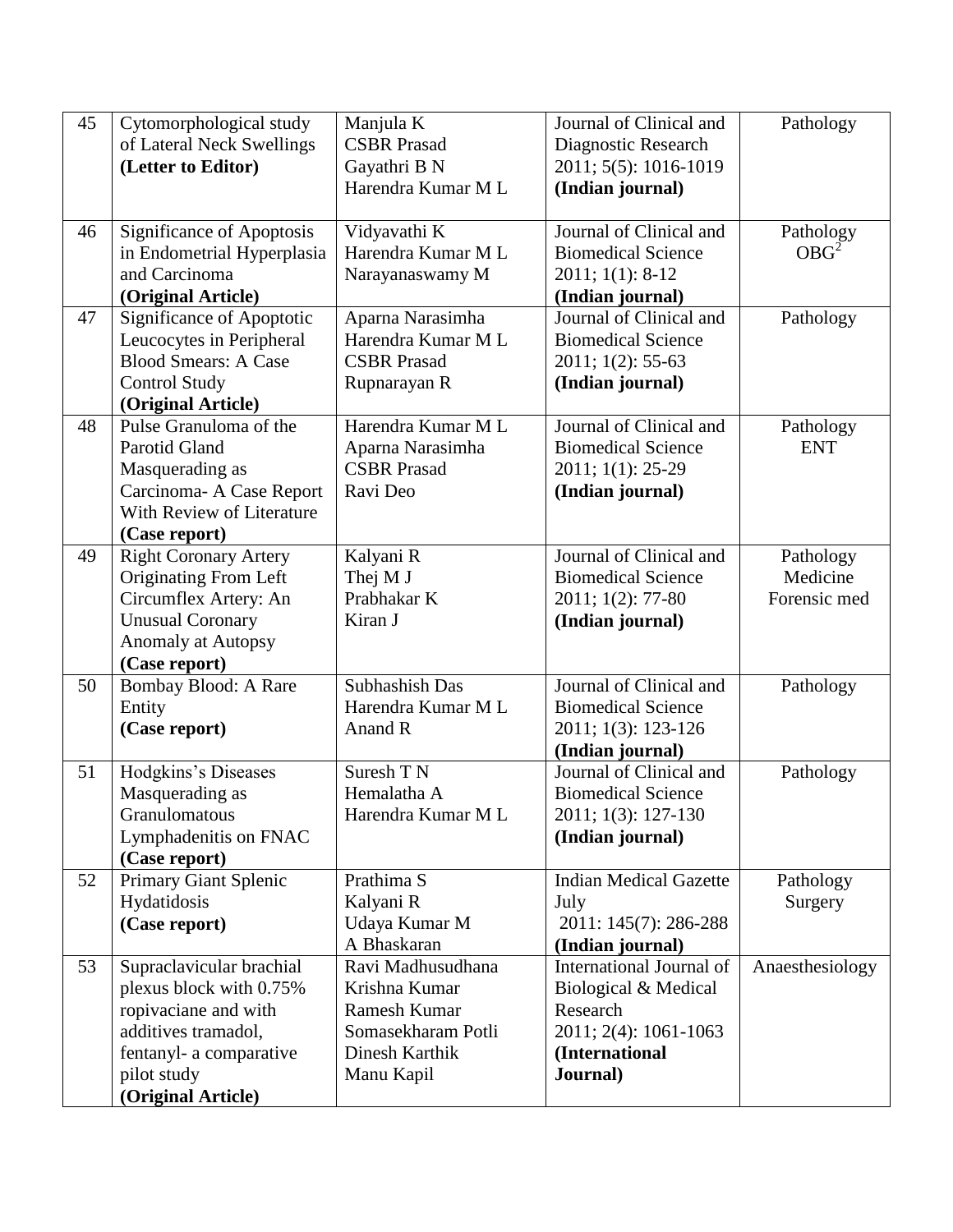| 45 | Cytomorphological study      | Manjula K          | Journal of Clinical and       | Pathology        |
|----|------------------------------|--------------------|-------------------------------|------------------|
|    | of Lateral Neck Swellings    | <b>CSBR</b> Prasad | Diagnostic Research           |                  |
|    | (Letter to Editor)           | Gayathri B N       | 2011; 5(5): 1016-1019         |                  |
|    |                              | Harendra Kumar M L | (Indian journal)              |                  |
|    |                              |                    |                               |                  |
| 46 | Significance of Apoptosis    | Vidyavathi K       | Journal of Clinical and       | Pathology        |
|    | in Endometrial Hyperplasia   | Harendra Kumar M L | <b>Biomedical Science</b>     | OBG <sup>2</sup> |
|    | and Carcinoma                |                    |                               |                  |
|    |                              | Narayanaswamy M    | 2011; 1(1): 8-12              |                  |
|    | (Original Article)           |                    | (Indian journal)              |                  |
| 47 | Significance of Apoptotic    | Aparna Narasimha   | Journal of Clinical and       | Pathology        |
|    | Leucocytes in Peripheral     | Harendra Kumar M L | <b>Biomedical Science</b>     |                  |
|    | <b>Blood Smears: A Case</b>  | <b>CSBR</b> Prasad | 2011; 1(2): 55-63             |                  |
|    | <b>Control Study</b>         | Rupnarayan R       | (Indian journal)              |                  |
|    | (Original Article)           |                    |                               |                  |
| 48 | Pulse Granuloma of the       | Harendra Kumar M L | Journal of Clinical and       | Pathology        |
|    | <b>Parotid Gland</b>         | Aparna Narasimha   | <b>Biomedical Science</b>     | <b>ENT</b>       |
|    | Masquerading as              | <b>CSBR</b> Prasad | 2011; 1(1): 25-29             |                  |
|    | Carcinoma- A Case Report     | Ravi Deo           | (Indian journal)              |                  |
|    | With Review of Literature    |                    |                               |                  |
|    | (Case report)                |                    |                               |                  |
| 49 | <b>Right Coronary Artery</b> | Kalyani R          | Journal of Clinical and       | Pathology        |
|    | Originating From Left        | Thej M J           | <b>Biomedical Science</b>     | Medicine         |
|    | Circumflex Artery: An        | Prabhakar K        | 2011; 1(2): 77-80             | Forensic med     |
|    | <b>Unusual Coronary</b>      | Kiran J            | (Indian journal)              |                  |
|    | <b>Anomaly at Autopsy</b>    |                    |                               |                  |
|    | (Case report)                |                    |                               |                  |
| 50 | Bombay Blood: A Rare         | Subhashish Das     | Journal of Clinical and       | Pathology        |
|    | Entity                       | Harendra Kumar M L | <b>Biomedical Science</b>     |                  |
|    | (Case report)                | Anand R            | 2011; 1(3): 123-126           |                  |
|    |                              |                    | (Indian journal)              |                  |
| 51 | Hodgkins's Diseases          | Suresh T N         | Journal of Clinical and       | Pathology        |
|    | Masquerading as              | Hemalatha A        | <b>Biomedical Science</b>     |                  |
|    | Granulomatous                | Harendra Kumar M L | 2011; 1(3): 127-130           |                  |
|    | Lymphadenitis on FNAC        |                    |                               |                  |
|    |                              |                    | (Indian journal)              |                  |
|    | (Case report)                |                    |                               |                  |
| 52 | Primary Giant Splenic        | Prathima S         | <b>Indian Medical Gazette</b> | Pathology        |
|    | Hydatidosis                  | Kalyani R          | July                          | Surgery          |
|    | (Case report)                | Udaya Kumar M      | 2011: 145(7): 286-288         |                  |
|    |                              | A Bhaskaran        | (Indian journal)              |                  |
| 53 | Supraclavicular brachial     | Ravi Madhusudhana  | International Journal of      | Anaesthesiology  |
|    | plexus block with 0.75%      | Krishna Kumar      | Biological & Medical          |                  |
|    | ropivaciane and with         | Ramesh Kumar       | Research                      |                  |
|    | additives tramadol,          | Somasekharam Potli | 2011; 2(4): 1061-1063         |                  |
|    | fentanyl- a comparative      | Dinesh Karthik     | (International                |                  |
|    | pilot study                  | Manu Kapil         | Journal)                      |                  |
|    | (Original Article)           |                    |                               |                  |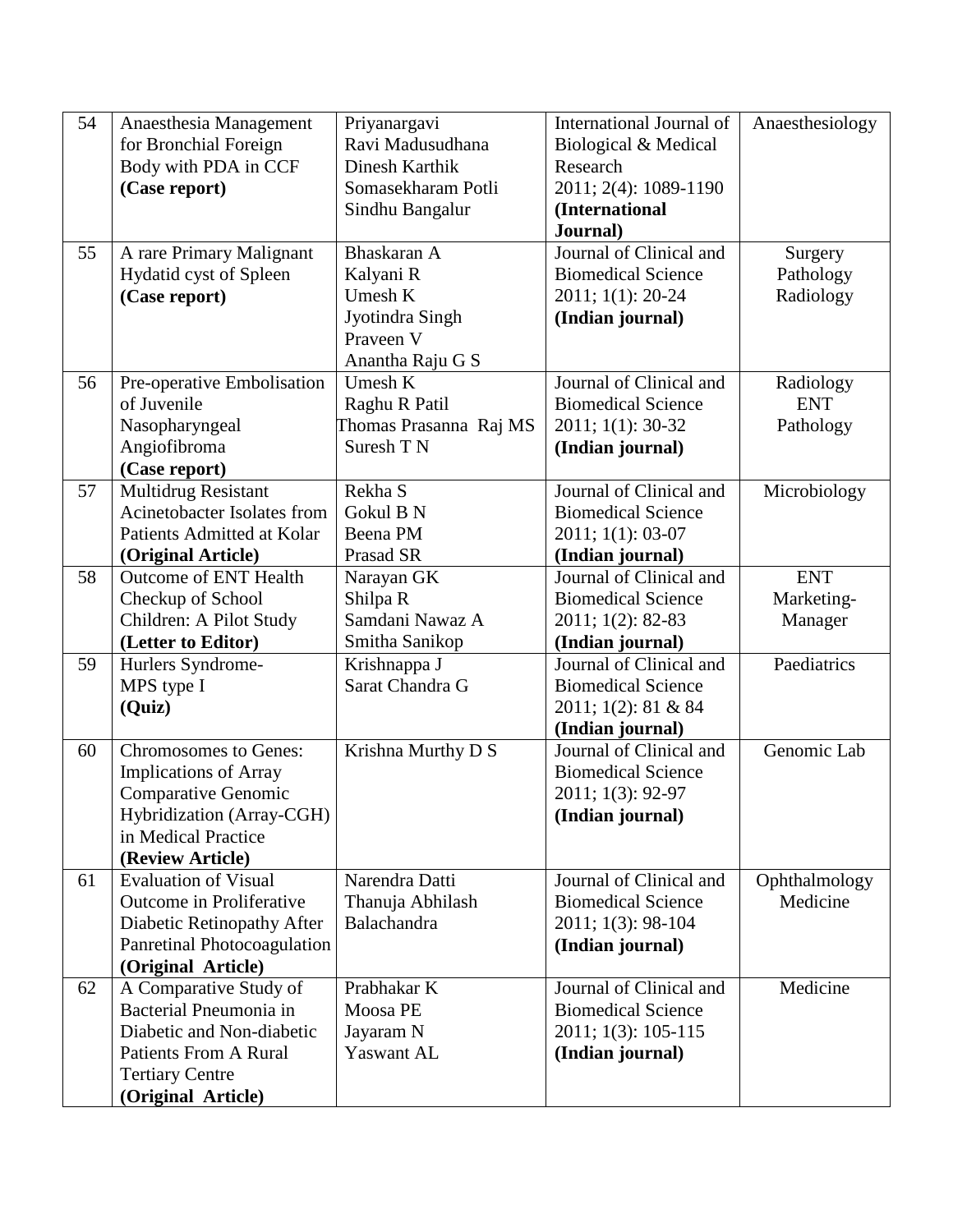| 54<br>International Journal of<br>Anaesthesia Management<br>Priyanargavi                     | Anaesthesiology           |
|----------------------------------------------------------------------------------------------|---------------------------|
| for Bronchial Foreign<br>Ravi Madusudhana<br>Biological & Medical                            |                           |
| Body with PDA in CCF<br>Dinesh Karthik<br>Research                                           |                           |
| 2011; 2(4): 1089-1190<br>(Case report)<br>Somasekharam Potli                                 |                           |
| Sindhu Bangalur<br>(International                                                            |                           |
| Journal)                                                                                     |                           |
| Journal of Clinical and<br>55<br>A rare Primary Malignant<br>Bhaskaran A                     | Surgery                   |
| Hydatid cyst of Spleen<br>Kalyani R<br><b>Biomedical Science</b>                             | Pathology                 |
| (Case report)<br>Umesh K<br>2011; 1(1): 20-24                                                | Radiology                 |
| Jyotindra Singh<br>(Indian journal)                                                          |                           |
| Praveen V                                                                                    |                           |
| Anantha Raju G S                                                                             |                           |
| Umesh K<br>Journal of Clinical and<br>56<br>Pre-operative Embolisation                       | Radiology                 |
| of Juvenile<br><b>Biomedical Science</b><br>Raghu R Patil                                    | <b>ENT</b>                |
| Nasopharyngeal<br>Thomas Prasanna Raj MS<br>2011; 1(1): 30-32                                | Pathology                 |
| Suresh T N<br>Angiofibroma<br>(Indian journal)                                               |                           |
| (Case report)                                                                                |                           |
| Journal of Clinical and<br>57<br>Multidrug Resistant<br>Rekha S                              | Microbiology              |
| <b>Acinetobacter Isolates from</b><br><b>Biomedical Science</b><br>Gokul B N                 |                           |
| Patients Admitted at Kolar<br>Beena PM<br>2011; 1(1): 03-07                                  |                           |
| Prasad SR<br>(Original Article)<br>(Indian journal)                                          |                           |
| 58<br>Journal of Clinical and<br><b>Outcome of ENT Health</b><br>Narayan GK                  | <b>ENT</b>                |
| Checkup of School<br>Shilpa R<br><b>Biomedical Science</b>                                   | Marketing-                |
| Samdani Nawaz A<br>Children: A Pilot Study<br>2011; 1(2): 82-83                              | Manager                   |
| (Letter to Editor)<br>Smitha Sanikop<br>(Indian journal)                                     |                           |
| Journal of Clinical and<br>59<br>Hurlers Syndrome-<br>Krishnappa J                           | Paediatrics               |
| MPS type I<br>Sarat Chandra G<br><b>Biomedical Science</b>                                   |                           |
| (Quiz)<br>2011; 1(2): 81 & 84                                                                |                           |
| (Indian journal)                                                                             |                           |
| Journal of Clinical and<br>Krishna Murthy D S<br>60<br><b>Chromosomes to Genes:</b>          | Genomic Lab               |
| <b>Implications of Array</b><br><b>Biomedical Science</b>                                    |                           |
| <b>Comparative Genomic</b><br>2011; 1(3): 92-97                                              |                           |
| Hybridization (Array-CGH)<br>(Indian journal)                                                |                           |
| in Medical Practice                                                                          |                           |
| (Review Article)<br><b>Evaluation of Visual</b><br>Narendra Datti<br>Journal of Clinical and |                           |
| 61<br>Outcome in Proliferative<br>Thanuja Abhilash<br><b>Biomedical Science</b>              | Ophthalmology<br>Medicine |
| Diabetic Retinopathy After<br>Balachandra<br>2011; 1(3): 98-104                              |                           |
| Panretinal Photocoagulation<br>(Indian journal)                                              |                           |
| (Original Article)                                                                           |                           |
| Prabhakar K<br>Journal of Clinical and<br>62<br>A Comparative Study of                       | Medicine                  |
|                                                                                              |                           |
|                                                                                              |                           |
| Bacterial Pneumonia in<br>Moosa PE<br><b>Biomedical Science</b>                              |                           |
| Diabetic and Non-diabetic<br>Jayaram N<br>2011; 1(3): 105-115                                |                           |
| <b>Patients From A Rural</b><br>Yaswant AL<br>(Indian journal)<br><b>Tertiary Centre</b>     |                           |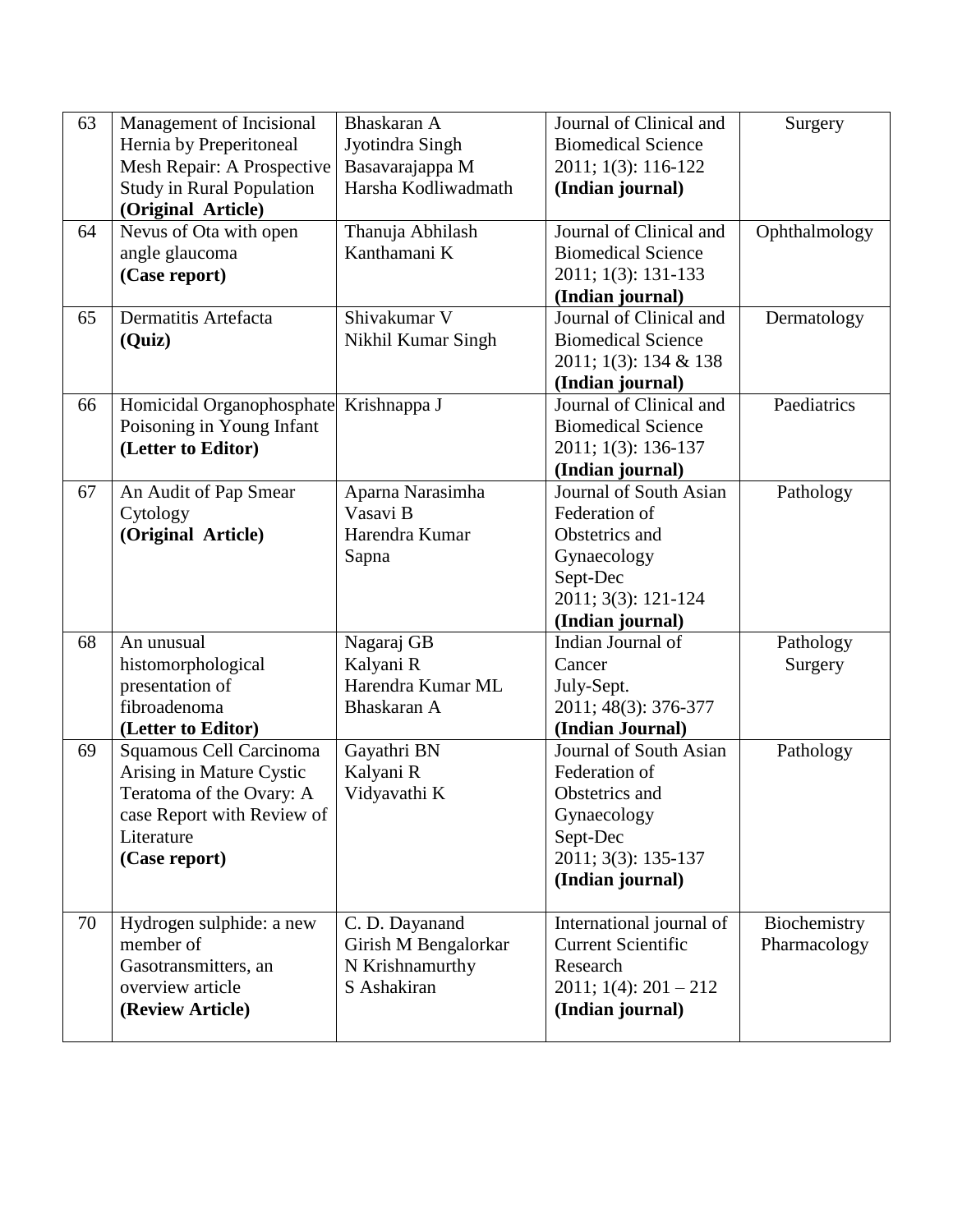| 63 | Management of Incisional               | Bhaskaran A          | Journal of Clinical and       | Surgery       |
|----|----------------------------------------|----------------------|-------------------------------|---------------|
|    | Hernia by Preperitoneal                | Jyotindra Singh      | <b>Biomedical Science</b>     |               |
|    | Mesh Repair: A Prospective             | Basavarajappa M      | 2011; 1(3): 116-122           |               |
|    | <b>Study in Rural Population</b>       | Harsha Kodliwadmath  | (Indian journal)              |               |
|    | (Original Article)                     |                      |                               |               |
| 64 | Nevus of Ota with open                 | Thanuja Abhilash     | Journal of Clinical and       | Ophthalmology |
|    | angle glaucoma                         | Kanthamani K         | <b>Biomedical Science</b>     |               |
|    | (Case report)                          |                      | 2011; 1(3): 131-133           |               |
|    |                                        |                      | (Indian journal)              |               |
| 65 | Dermatitis Artefacta                   | Shivakumar V         | Journal of Clinical and       | Dermatology   |
|    | (Quiz)                                 | Nikhil Kumar Singh   | <b>Biomedical Science</b>     |               |
|    |                                        |                      | 2011; 1(3): 134 & 138         |               |
|    |                                        |                      | (Indian journal)              |               |
| 66 | Homicidal Organophosphate Krishnappa J |                      | Journal of Clinical and       | Paediatrics   |
|    | Poisoning in Young Infant              |                      | <b>Biomedical Science</b>     |               |
|    | (Letter to Editor)                     |                      | 2011; 1(3): 136-137           |               |
|    |                                        |                      | (Indian journal)              |               |
| 67 | An Audit of Pap Smear                  | Aparna Narasimha     | Journal of South Asian        | Pathology     |
|    | Cytology                               | Vasavi B             | Federation of                 |               |
|    | (Original Article)                     | Harendra Kumar       | Obstetrics and                |               |
|    |                                        | Sapna                | Gynaecology                   |               |
|    |                                        |                      | Sept-Dec                      |               |
|    |                                        |                      | 2011; 3(3): 121-124           |               |
|    |                                        |                      | (Indian journal)              |               |
| 68 | An unusual                             | Nagaraj GB           | Indian Journal of             | Pathology     |
|    | histomorphological                     | Kalyani R            | Cancer                        | Surgery       |
|    | presentation of                        | Harendra Kumar ML    | July-Sept.                    |               |
|    | fibroadenoma                           | Bhaskaran A          | 2011; 48(3): 376-377          |               |
|    | (Letter to Editor)                     |                      | (Indian Journal)              |               |
| 69 | Squamous Cell Carcinoma                | Gayathri BN          | Journal of South Asian        | Pathology     |
|    | Arising in Mature Cystic               | Kalyani R            | Federation of                 |               |
|    | Teratoma of the Ovary: A               | Vidyavathi K         | Obstetrics and                |               |
|    | case Report with Review of             |                      | Gynaecology                   |               |
|    | Literature                             |                      | Sept-Dec                      |               |
|    | (Case report)                          |                      | 2011; 3(3): 135-137           |               |
|    |                                        |                      | (Indian journal)              |               |
| 70 | Hydrogen sulphide: a new               | C. D. Dayanand       | International journal of      | Biochemistry  |
|    | member of                              | Girish M Bengalorkar | <b>Current Scientific</b>     | Pharmacology  |
|    | Gasotransmitters, an                   | N Krishnamurthy      | Research                      |               |
|    | overview article                       | S Ashakiran          | $2011$ ; $1(4)$ : $201 - 212$ |               |
|    | (Review Article)                       |                      | (Indian journal)              |               |
|    |                                        |                      |                               |               |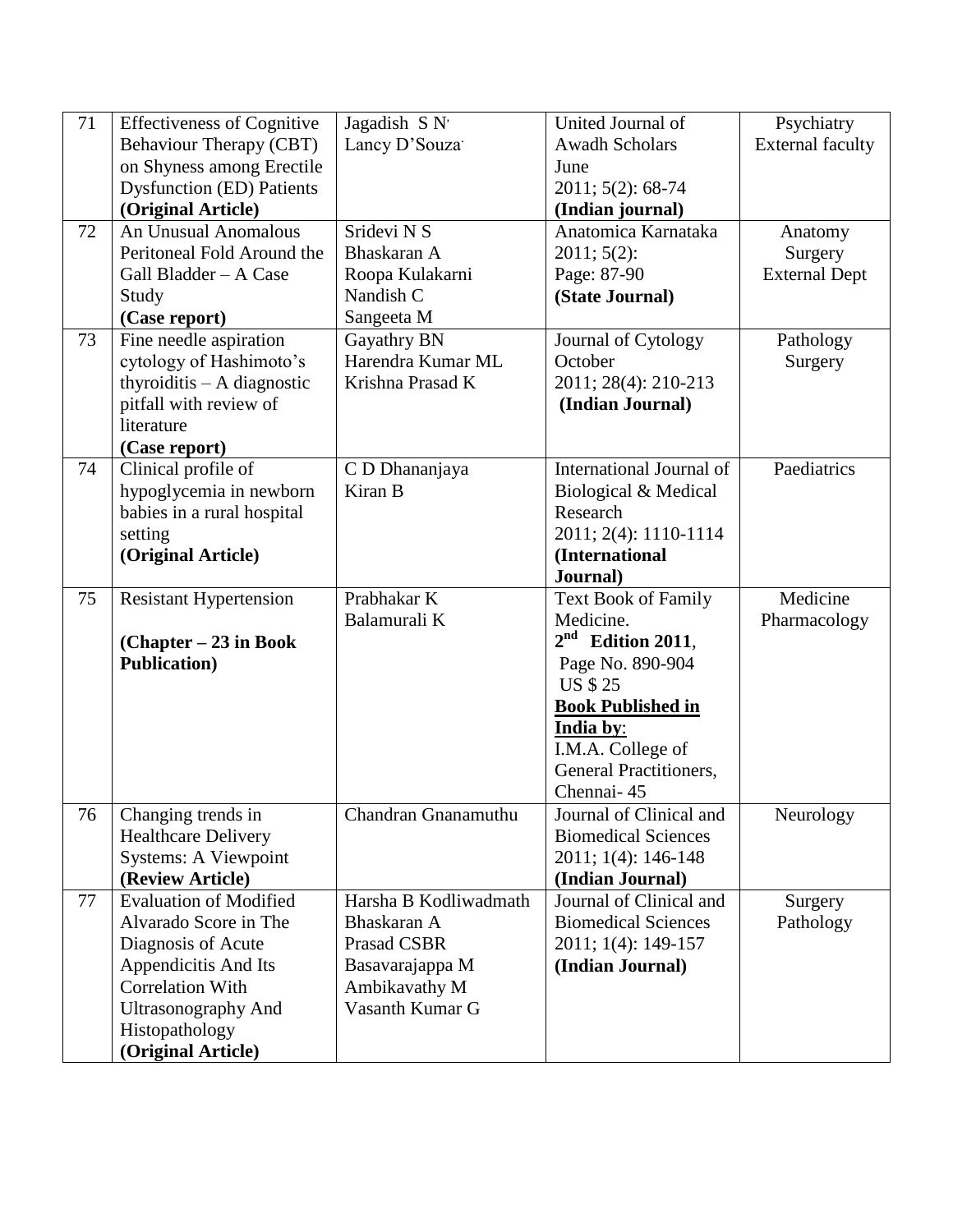| 71 | <b>Effectiveness of Cognitive</b>    | Jagadish S N'              | United Journal of          | Psychiatry              |
|----|--------------------------------------|----------------------------|----------------------------|-------------------------|
|    | <b>Behaviour Therapy (CBT)</b>       | Lancy D'Souza <sup>-</sup> | <b>Awadh Scholars</b>      | <b>External faculty</b> |
|    | on Shyness among Erectile            |                            | June                       |                         |
|    | <b>Dysfunction (ED) Patients</b>     |                            | 2011; 5(2): 68-74          |                         |
|    | (Original Article)                   |                            | (Indian journal)           |                         |
| 72 | <b>An Unusual Anomalous</b>          | Sridevi N S                | Anatomica Karnataka        | Anatomy                 |
|    | Peritoneal Fold Around the           | Bhaskaran A                | 2011; 5(2):                | Surgery                 |
|    | Gall Bladder - A Case                | Roopa Kulakarni            | Page: 87-90                | <b>External Dept</b>    |
|    | Study                                | Nandish C                  | (State Journal)            |                         |
|    | (Case report)                        | Sangeeta M                 |                            |                         |
| 73 | Fine needle aspiration               | Gayathry BN                | Journal of Cytology        | Pathology               |
|    | cytology of Hashimoto's              | Harendra Kumar ML          | October                    | Surgery                 |
|    | thyroiditis $- A$ diagnostic         | Krishna Prasad K           | 2011; 28(4): 210-213       |                         |
|    | pitfall with review of               |                            | (Indian Journal)           |                         |
|    | literature                           |                            |                            |                         |
|    | (Case report)                        |                            |                            |                         |
| 74 | Clinical profile of                  | C D Dhananjaya             | International Journal of   | Paediatrics             |
|    | hypoglycemia in newborn              | Kiran B                    | Biological & Medical       |                         |
|    | babies in a rural hospital           |                            | Research                   |                         |
|    | setting                              |                            | 2011; 2(4): 1110-1114      |                         |
|    | (Original Article)                   |                            | (International             |                         |
|    |                                      |                            | Journal)                   |                         |
| 75 | <b>Resistant Hypertension</b>        | Prabhakar K                | <b>Text Book of Family</b> | Medicine                |
|    |                                      | Balamurali K               | Medicine.                  | Pharmacology            |
|    | $(Chapter - 23$ in Book              |                            | $2nd$ Edition 2011,        |                         |
|    | <b>Publication</b> )                 |                            | Page No. 890-904           |                         |
|    |                                      |                            | <b>US \$ 25</b>            |                         |
|    |                                      |                            | <b>Book Published in</b>   |                         |
|    |                                      |                            | India by:                  |                         |
|    |                                      |                            | I.M.A. College of          |                         |
|    |                                      |                            | General Practitioners,     |                         |
|    |                                      |                            | Chennai-45                 |                         |
| 76 | Changing trends in                   | Chandran Gnanamuthu        | Journal of Clinical and    | Neurology               |
|    | <b>Healthcare Delivery</b>           |                            | <b>Biomedical Sciences</b> |                         |
|    | <b>Systems: A Viewpoint</b>          |                            | 2011; 1(4): 146-148        |                         |
| 77 |                                      |                            |                            |                         |
|    | (Review Article)                     |                            | (Indian Journal)           |                         |
|    | <b>Evaluation of Modified</b>        | Harsha B Kodliwadmath      | Journal of Clinical and    | Surgery                 |
|    | Alvarado Score in The                | Bhaskaran A                | <b>Biomedical Sciences</b> | Pathology               |
|    | Diagnosis of Acute                   | <b>Prasad CSBR</b>         | 2011; 1(4): 149-157        |                         |
|    | Appendicitis And Its                 | Basavarajappa M            | (Indian Journal)           |                         |
|    | <b>Correlation With</b>              | Ambikavathy M              |                            |                         |
|    | <b>Ultrasonography And</b>           | Vasanth Kumar G            |                            |                         |
|    | Histopathology<br>(Original Article) |                            |                            |                         |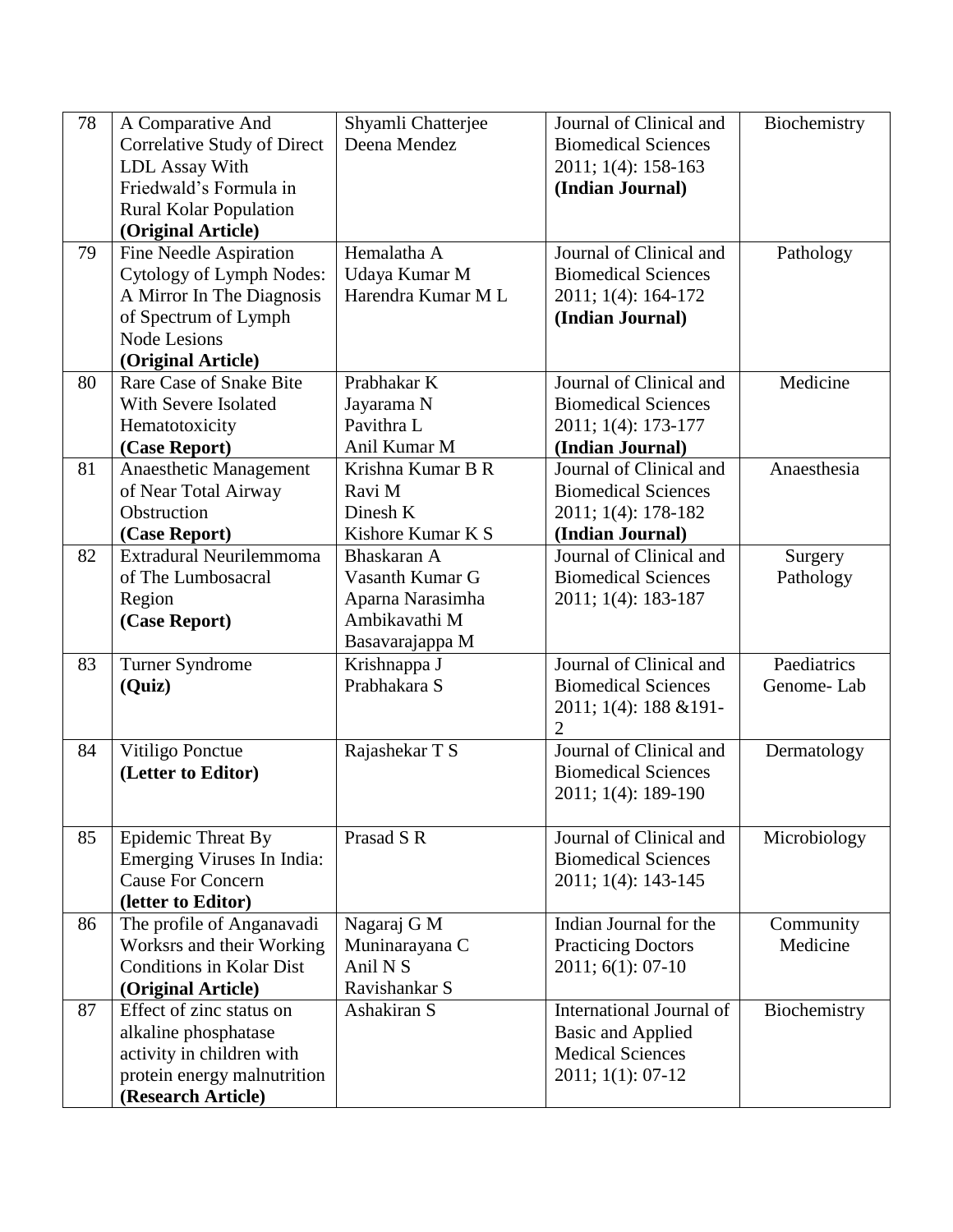| 78 | A Comparative And                  | Shyamli Chatterjee  | Journal of Clinical and    | Biochemistry |
|----|------------------------------------|---------------------|----------------------------|--------------|
|    | <b>Correlative Study of Direct</b> | Deena Mendez        | <b>Biomedical Sciences</b> |              |
|    | <b>LDL</b> Assay With              |                     | 2011; 1(4): 158-163        |              |
|    | Friedwald's Formula in             |                     | (Indian Journal)           |              |
|    | <b>Rural Kolar Population</b>      |                     |                            |              |
|    | (Original Article)                 |                     |                            |              |
| 79 | Fine Needle Aspiration             | Hemalatha A         | Journal of Clinical and    | Pathology    |
|    | Cytology of Lymph Nodes:           | Udaya Kumar M       | <b>Biomedical Sciences</b> |              |
|    | A Mirror In The Diagnosis          | Harendra Kumar M L  | 2011; 1(4): 164-172        |              |
|    | of Spectrum of Lymph               |                     | (Indian Journal)           |              |
|    | <b>Node Lesions</b>                |                     |                            |              |
|    | (Original Article)                 |                     |                            |              |
| 80 | Rare Case of Snake Bite            | Prabhakar K         | Journal of Clinical and    | Medicine     |
|    | With Severe Isolated               | Jayarama N          | <b>Biomedical Sciences</b> |              |
|    | Hematotoxicity                     | Pavithra L          | 2011; 1(4): 173-177        |              |
|    | (Case Report)                      | Anil Kumar M        | (Indian Journal)           |              |
| 81 | Anaesthetic Management             | Krishna Kumar B R   | Journal of Clinical and    | Anaesthesia  |
|    | of Near Total Airway               | Ravi M              | <b>Biomedical Sciences</b> |              |
|    | Obstruction                        | Dinesh K            | 2011; 1(4): 178-182        |              |
|    | (Case Report)                      | Kishore Kumar K S   | (Indian Journal)           |              |
| 82 | Extradural Neurilemmoma            | Bhaskaran A         | Journal of Clinical and    | Surgery      |
|    | of The Lumbosacral                 | Vasanth Kumar G     | <b>Biomedical Sciences</b> | Pathology    |
|    | Region                             | Aparna Narasimha    | 2011; 1(4): 183-187        |              |
|    | (Case Report)                      | Ambikavathi M       |                            |              |
|    |                                    | Basavarajappa M     |                            |              |
| 83 | Turner Syndrome                    | Krishnappa J        | Journal of Clinical and    | Paediatrics  |
|    | (Quiz)                             | Prabhakara S        | <b>Biomedical Sciences</b> | Genome-Lab   |
|    |                                    |                     | 2011; 1(4): 188 & 191-     |              |
|    |                                    |                     | $\overline{2}$             |              |
| 84 | Vitiligo Ponctue                   | Rajashekar T S      | Journal of Clinical and    | Dermatology  |
|    | (Letter to Editor)                 |                     | <b>Biomedical Sciences</b> |              |
|    |                                    |                     | 2011; 1(4): 189-190        |              |
|    |                                    |                     |                            |              |
| 85 | Epidemic Threat By                 | Prasad S R          | Journal of Clinical and    | Microbiology |
|    | Emerging Viruses In India:         |                     | <b>Biomedical Sciences</b> |              |
|    | <b>Cause For Concern</b>           |                     | 2011; 1(4): 143-145        |              |
|    | (letter to Editor)                 |                     |                            |              |
| 86 | The profile of Anganavadi          | Nagaraj G M         | Indian Journal for the     | Community    |
|    | Worksrs and their Working          | Muninarayana C      | <b>Practicing Doctors</b>  | Medicine     |
|    | <b>Conditions in Kolar Dist</b>    | Anil N <sub>S</sub> | $2011; 6(1): 07-10$        |              |
|    | (Original Article)                 | Ravishankar S       |                            |              |
| 87 | Effect of zinc status on           | Ashakiran S         | International Journal of   | Biochemistry |
|    | alkaline phosphatase               |                     | <b>Basic and Applied</b>   |              |
|    | activity in children with          |                     | <b>Medical Sciences</b>    |              |
|    | protein energy malnutrition        |                     | 2011; 1(1): 07-12          |              |
|    |                                    |                     |                            |              |
|    | (Research Article)                 |                     |                            |              |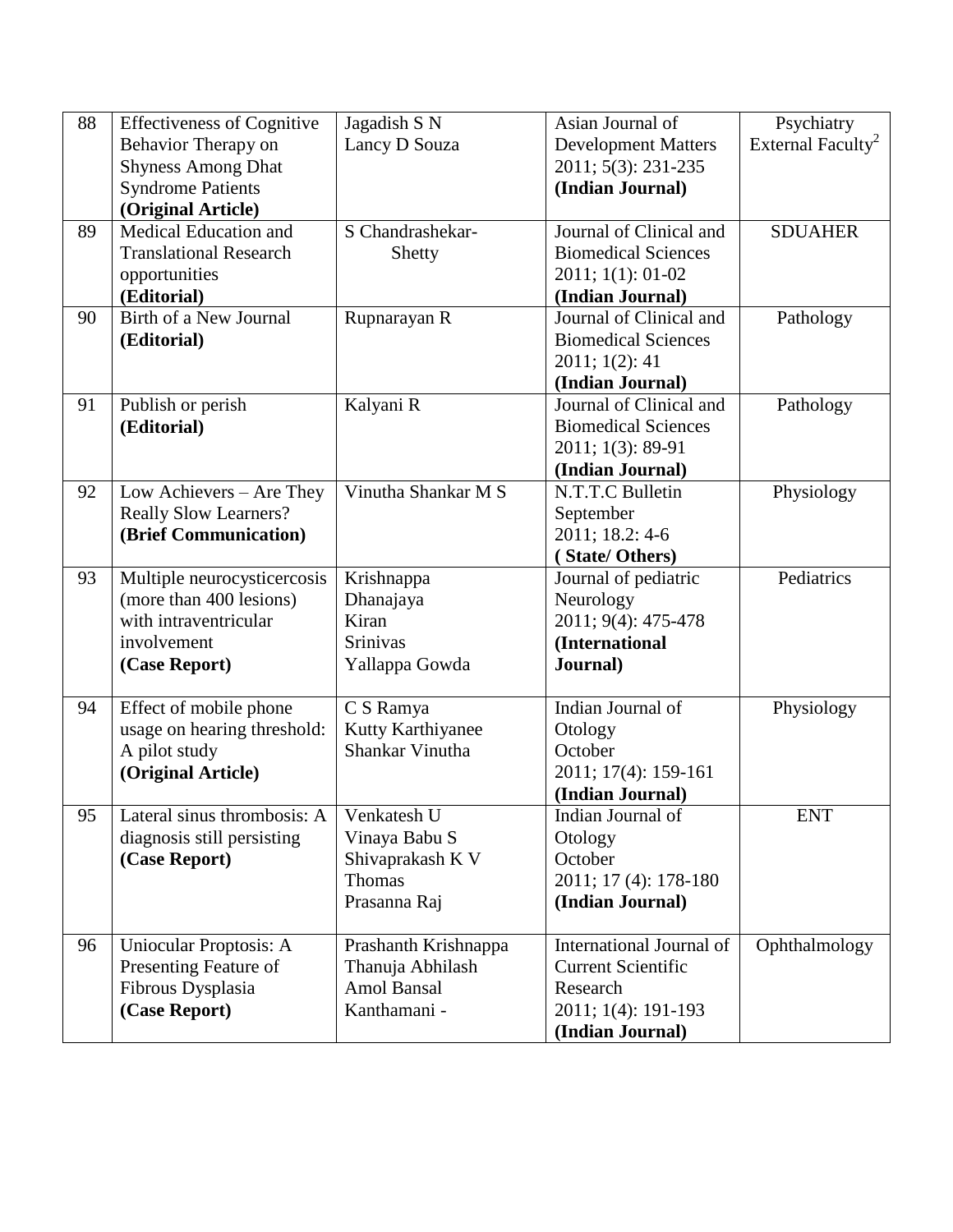| 88 | <b>Effectiveness of Cognitive</b> | Jagadish S N         | Asian Journal of           | Psychiatry                    |
|----|-----------------------------------|----------------------|----------------------------|-------------------------------|
|    | Behavior Therapy on               | Lancy D Souza        | <b>Development Matters</b> | External Faculty <sup>2</sup> |
|    | <b>Shyness Among Dhat</b>         |                      | 2011; 5(3): 231-235        |                               |
|    | <b>Syndrome Patients</b>          |                      | (Indian Journal)           |                               |
|    | (Original Article)                |                      |                            |                               |
| 89 | Medical Education and             | S Chandrashekar-     | Journal of Clinical and    | <b>SDUAHER</b>                |
|    | <b>Translational Research</b>     | Shetty               | <b>Biomedical Sciences</b> |                               |
|    | opportunities                     |                      | 2011; 1(1): 01-02          |                               |
|    | (Editorial)                       |                      | (Indian Journal)           |                               |
| 90 | Birth of a New Journal            | Rupnarayan R         | Journal of Clinical and    | Pathology                     |
|    | (Editorial)                       |                      | <b>Biomedical Sciences</b> |                               |
|    |                                   |                      | 2011; 1(2): 41             |                               |
|    |                                   |                      | (Indian Journal)           |                               |
| 91 | Publish or perish                 | Kalyani R            | Journal of Clinical and    | Pathology                     |
|    | (Editorial)                       |                      | <b>Biomedical Sciences</b> |                               |
|    |                                   |                      | 2011; 1(3): 89-91          |                               |
|    |                                   |                      | (Indian Journal)           |                               |
| 92 | Low Achievers - Are They          | Vinutha Shankar M S  | N.T.T.C Bulletin           | Physiology                    |
|    | <b>Really Slow Learners?</b>      |                      | September                  |                               |
|    | (Brief Communication)             |                      | 2011; 18.2: 4-6            |                               |
|    |                                   |                      | (State/Others)             |                               |
| 93 | Multiple neurocysticercosis       | Krishnappa           | Journal of pediatric       | Pediatrics                    |
|    | (more than 400 lesions)           | Dhanajaya            | Neurology                  |                               |
|    | with intraventricular             | Kiran                | 2011; 9(4): 475-478        |                               |
|    | involvement                       | <b>Srinivas</b>      | (International             |                               |
|    | (Case Report)                     | Yallappa Gowda       | Journal)                   |                               |
|    |                                   |                      |                            |                               |
| 94 | Effect of mobile phone            | C S Ramya            | Indian Journal of          | Physiology                    |
|    | usage on hearing threshold:       | Kutty Karthiyanee    | Otology                    |                               |
|    | A pilot study                     | Shankar Vinutha      | October                    |                               |
|    | (Original Article)                |                      | 2011; 17(4): 159-161       |                               |
|    |                                   |                      | (Indian Journal)           |                               |
| 95 | Lateral sinus thrombosis: A       | Venkatesh U          | Indian Journal of          | <b>ENT</b>                    |
|    | diagnosis still persisting        | Vinaya Babu S        | Otology                    |                               |
|    | (Case Report)                     | Shivaprakash K V     | October                    |                               |
|    |                                   | Thomas               | 2011; 17 (4): 178-180      |                               |
|    |                                   | Prasanna Raj         | (Indian Journal)           |                               |
|    |                                   |                      |                            |                               |
| 96 | Uniocular Proptosis: A            | Prashanth Krishnappa | International Journal of   | Ophthalmology                 |
|    | Presenting Feature of             | Thanuja Abhilash     | <b>Current Scientific</b>  |                               |
|    | Fibrous Dysplasia                 | <b>Amol Bansal</b>   | Research                   |                               |
|    | (Case Report)                     | Kanthamani -         | 2011; 1(4): 191-193        |                               |
|    |                                   |                      | (Indian Journal)           |                               |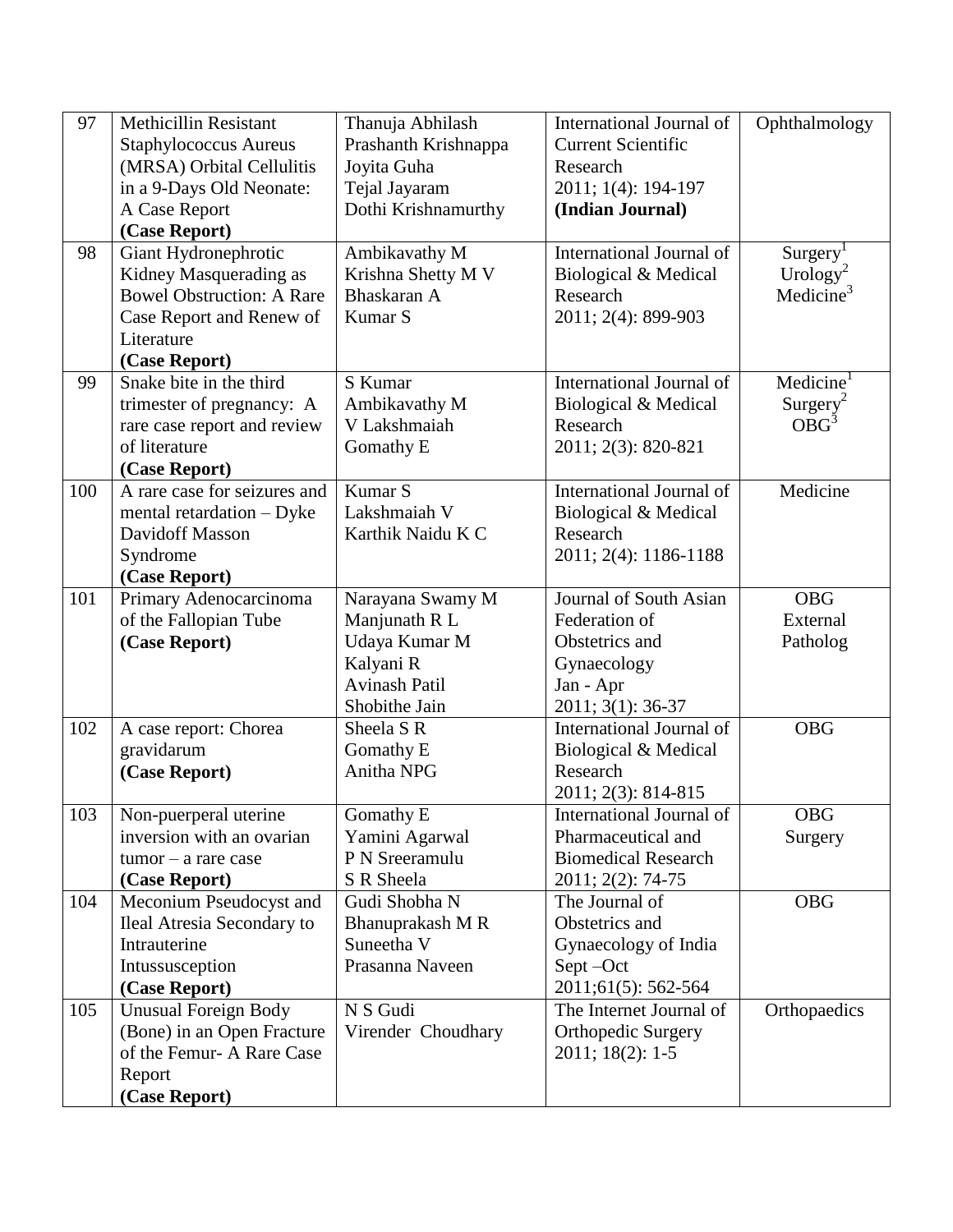| 97  | <b>Methicillin Resistant</b>     | Thanuja Abhilash     | International Journal of        | Ophthalmology         |
|-----|----------------------------------|----------------------|---------------------------------|-----------------------|
|     | <b>Staphylococcus Aureus</b>     | Prashanth Krishnappa | <b>Current Scientific</b>       |                       |
|     | (MRSA) Orbital Cellulitis        | Joyita Guha          | Research                        |                       |
|     | in a 9-Days Old Neonate:         | Tejal Jayaram        | 2011; 1(4): 194-197             |                       |
|     | A Case Report                    | Dothi Krishnamurthy  | (Indian Journal)                |                       |
|     | (Case Report)                    |                      |                                 |                       |
| 98  | Giant Hydronephrotic             | Ambikavathy M        | International Journal of        | Surgery <sup>1</sup>  |
|     | Kidney Masquerading as           | Krishna Shetty M V   | Biological & Medical            | Urology <sup>2</sup>  |
|     | <b>Bowel Obstruction: A Rare</b> | Bhaskaran A          | Research                        | Medicine <sup>3</sup> |
|     | Case Report and Renew of         | Kumar S              | 2011; 2(4): 899-903             |                       |
|     | Literature                       |                      |                                 |                       |
|     | (Case Report)                    |                      |                                 |                       |
| 99  | Snake bite in the third          | S Kumar              | International Journal of        | Medicine <sup>1</sup> |
|     | trimester of pregnancy: A        | Ambikavathy M        | Biological & Medical            | Surgery <sup>2</sup>  |
|     | rare case report and review      | V Lakshmaiah         | Research                        | OBG <sup>3</sup>      |
|     | of literature                    | Gomathy E            | 2011; 2(3): 820-821             |                       |
|     | (Case Report)                    |                      |                                 |                       |
| 100 | A rare case for seizures and     | Kumar S              | International Journal of        | Medicine              |
|     | mental retardation - Dyke        | Lakshmaiah V         | Biological & Medical            |                       |
|     | Davidoff Masson                  | Karthik Naidu K C    | Research                        |                       |
|     | Syndrome                         |                      | 2011; 2(4): 1186-1188           |                       |
|     | (Case Report)                    |                      |                                 |                       |
| 101 | Primary Adenocarcinoma           | Narayana Swamy M     | Journal of South Asian          | <b>OBG</b>            |
|     | of the Fallopian Tube            | Manjunath R L        | Federation of                   | External              |
|     | (Case Report)                    | Udaya Kumar M        | Obstetrics and                  | Patholog              |
|     |                                  | Kalyani R            | Gynaecology                     |                       |
|     |                                  | <b>Avinash Patil</b> | Jan - Apr                       |                       |
|     |                                  | Shobithe Jain        | 2011; 3(1): 36-37               |                       |
| 102 | A case report: Chorea            | Sheela S R           | International Journal of        | <b>OBG</b>            |
|     | gravidarum                       | Gomathy E            | Biological & Medical            |                       |
|     | (Case Report)                    | Anitha NPG           | Research                        |                       |
|     |                                  |                      | 2011; 2(3): 814-815             |                       |
| 103 | Non-puerperal uterine            | Gomathy E            | <b>International Journal of</b> | <b>OBG</b>            |
|     | inversion with an ovarian        | Yamini Agarwal       | Pharmaceutical and              | Surgery               |
|     | $tumor - a rare case$            | P N Sreeramulu       | <b>Biomedical Research</b>      |                       |
|     | (Case Report)                    | S R Sheela           | 2011; 2(2): 74-75               |                       |
| 104 | Meconium Pseudocyst and          | Gudi Shobha N        | The Journal of                  | <b>OBG</b>            |
|     | Ileal Atresia Secondary to       | Bhanuprakash M R     | Obstetrics and                  |                       |
|     | Intrauterine                     | Suneetha V           | Gynaecology of India            |                       |
|     | Intussusception                  | Prasanna Naveen      | Sept-Oct                        |                       |
|     | (Case Report)                    |                      | 2011;61(5): 562-564             |                       |
| 105 | <b>Unusual Foreign Body</b>      | N S Gudi             | The Internet Journal of         | Orthopaedics          |
|     | (Bone) in an Open Fracture       | Virender Choudhary   | Orthopedic Surgery              |                       |
|     | of the Femur-A Rare Case         |                      | $2011; 18(2): 1-5$              |                       |
|     | Report                           |                      |                                 |                       |
|     | (Case Report)                    |                      |                                 |                       |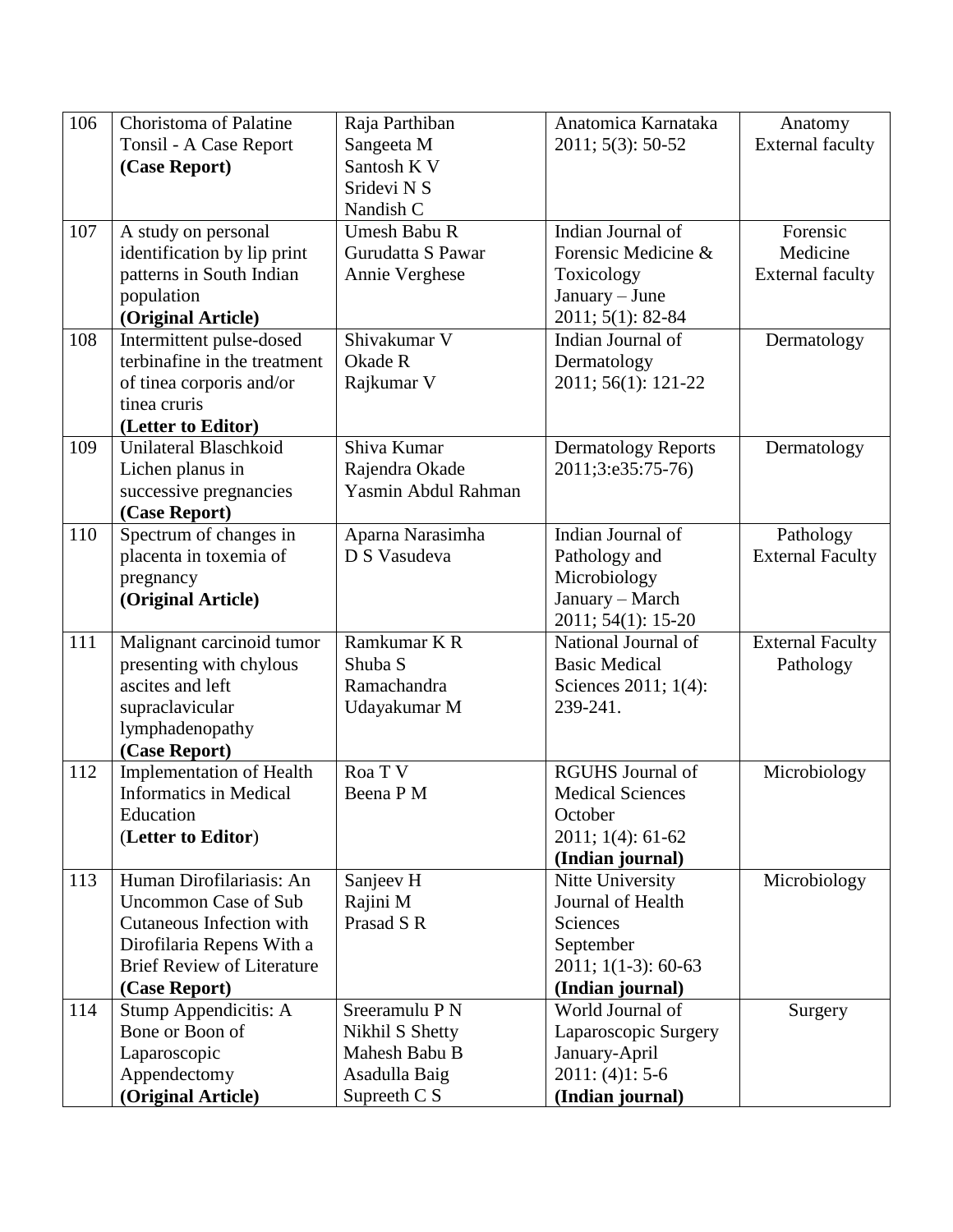| 106 | Choristoma of Palatine            | Raja Parthiban      | Anatomica Karnataka        | Anatomy                 |
|-----|-----------------------------------|---------------------|----------------------------|-------------------------|
|     | Tonsil - A Case Report            | Sangeeta M          | 2011; 5(3): 50-52          | <b>External faculty</b> |
|     | (Case Report)                     | Santosh K V         |                            |                         |
|     |                                   | Sridevi N S         |                            |                         |
|     |                                   | Nandish C           |                            |                         |
| 107 | A study on personal               | Umesh Babu R        | Indian Journal of          | Forensic                |
|     | identification by lip print       | Gurudatta S Pawar   | Forensic Medicine &        | Medicine                |
|     | patterns in South Indian          | Annie Verghese      | Toxicology                 | <b>External faculty</b> |
|     | population                        |                     | January - June             |                         |
|     | (Original Article)                |                     | 2011; 5(1): 82-84          |                         |
| 108 | Intermittent pulse-dosed          | Shivakumar V        | Indian Journal of          | Dermatology             |
|     | terbinafine in the treatment      | Okade R             | Dermatology                |                         |
|     | of tinea corporis and/or          | Rajkumar V          | 2011; 56(1): 121-22        |                         |
|     | tinea cruris                      |                     |                            |                         |
|     | (Letter to Editor)                |                     |                            |                         |
| 109 | Unilateral Blaschkoid             | Shiva Kumar         | <b>Dermatology Reports</b> | Dermatology             |
|     | Lichen planus in                  | Rajendra Okade      | 2011;3:e35:75-76)          |                         |
|     | successive pregnancies            | Yasmin Abdul Rahman |                            |                         |
|     | (Case Report)                     |                     |                            |                         |
| 110 | Spectrum of changes in            | Aparna Narasimha    | Indian Journal of          | Pathology               |
|     | placenta in toxemia of            | D S Vasudeva        | Pathology and              | <b>External Faculty</b> |
|     | pregnancy                         |                     | Microbiology               |                         |
|     | (Original Article)                |                     | January - March            |                         |
|     |                                   |                     | 2011; 54(1): 15-20         |                         |
| 111 | Malignant carcinoid tumor         | Ramkumar K R        | National Journal of        | <b>External Faculty</b> |
|     | presenting with chylous           | Shuba <sub>S</sub>  | <b>Basic Medical</b>       | Pathology               |
|     | ascites and left                  | Ramachandra         | Sciences 2011; 1(4):       |                         |
|     | supraclavicular                   | Udayakumar M        | 239-241.                   |                         |
|     | lymphadenopathy                   |                     |                            |                         |
|     | (Case Report)                     |                     |                            |                         |
| 112 | <b>Implementation of Health</b>   | Roa T V             | <b>RGUHS</b> Journal of    | Microbiology            |
|     | <b>Informatics in Medical</b>     | Beena P M           | <b>Medical Sciences</b>    |                         |
|     | Education                         |                     | October                    |                         |
|     | (Letter to Editor)                |                     | $2011; 1(4): 61-62$        |                         |
|     |                                   |                     | (Indian journal)           |                         |
| 113 | Human Dirofilariasis: An          | Sanjeev H           | Nitte University           | Microbiology            |
|     | <b>Uncommon Case of Sub</b>       | Rajini M            | Journal of Health          |                         |
|     | Cutaneous Infection with          | Prasad S R          | Sciences                   |                         |
|     | Dirofilaria Repens With a         |                     | September                  |                         |
|     | <b>Brief Review of Literature</b> |                     | $2011; 1(1-3): 60-63$      |                         |
|     | (Case Report)                     |                     | (Indian journal)           |                         |
| 114 | Stump Appendicitis: A             | Sreeramulu P N      | World Journal of           | Surgery                 |
|     | Bone or Boon of                   | Nikhil S Shetty     | Laparoscopic Surgery       |                         |
|     | Laparoscopic                      | Mahesh Babu B       | January-April              |                         |
|     | Appendectomy                      | Asadulla Baig       | $2011: (4)1: 5-6$          |                         |
|     | (Original Article)                | Supreeth C S        | (Indian journal)           |                         |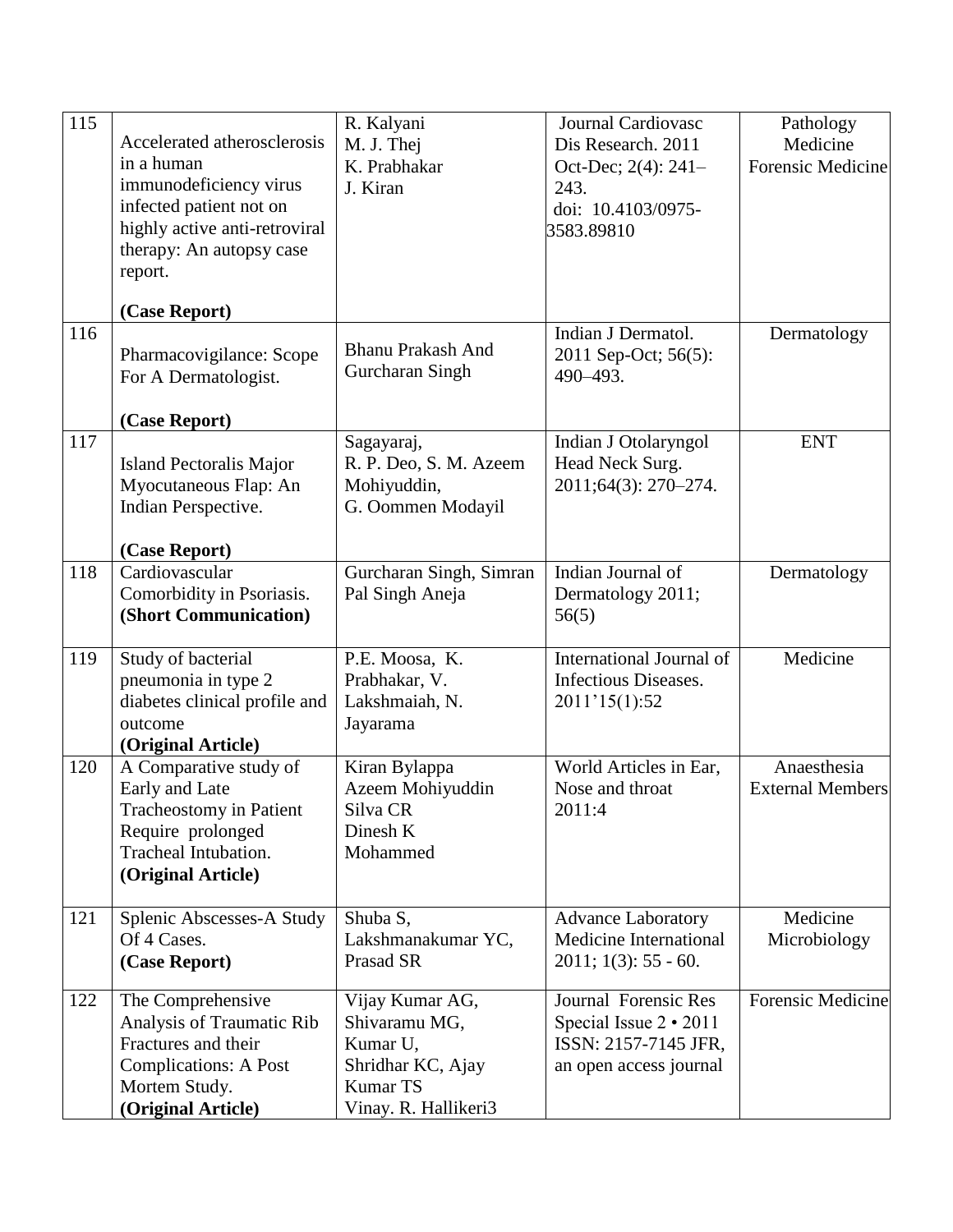| 115 |                                | R. Kalyani               | Journal Cardiovasc            | Pathology                |
|-----|--------------------------------|--------------------------|-------------------------------|--------------------------|
|     | Accelerated atherosclerosis    | M. J. Thej               | Dis Research. 2011            | Medicine                 |
|     | in a human                     | K. Prabhakar             | Oct-Dec; 2(4): 241-           | <b>Forensic Medicine</b> |
|     | immunodeficiency virus         | J. Kiran                 | 243.                          |                          |
|     | infected patient not on        |                          | doi: 10.4103/0975-            |                          |
|     | highly active anti-retroviral  |                          | 3583.89810                    |                          |
|     | therapy: An autopsy case       |                          |                               |                          |
|     | report.                        |                          |                               |                          |
|     | (Case Report)                  |                          |                               |                          |
| 116 |                                |                          | Indian J Dermatol.            | Dermatology              |
|     | Pharmacovigilance: Scope       | <b>Bhanu Prakash And</b> | 2011 Sep-Oct; 56(5):          |                          |
|     | For A Dermatologist.           | Gurcharan Singh          | 490-493.                      |                          |
|     |                                |                          |                               |                          |
|     | (Case Report)                  |                          |                               |                          |
| 117 |                                | Sagayaraj,               | Indian J Otolaryngol          | <b>ENT</b>               |
|     | <b>Island Pectoralis Major</b> | R. P. Deo, S. M. Azeem   | Head Neck Surg.               |                          |
|     | Myocutaneous Flap: An          | Mohiyuddin,              | 2011;64(3): 270-274.          |                          |
|     | Indian Perspective.            | G. Oommen Modayil        |                               |                          |
|     | (Case Report)                  |                          |                               |                          |
| 118 | Cardiovascular                 | Gurcharan Singh, Simran  | Indian Journal of             | Dermatology              |
|     | Comorbidity in Psoriasis.      | Pal Singh Aneja          | Dermatology 2011;             |                          |
|     | (Short Communication)          |                          | 56(5)                         |                          |
|     |                                |                          |                               |                          |
| 119 | Study of bacterial             | P.E. Moosa, K.           | International Journal of      | Medicine                 |
|     | pneumonia in type 2            | Prabhakar, V.            | Infectious Diseases.          |                          |
|     | diabetes clinical profile and  | Lakshmaiah, N.           | 2011'15(1):52                 |                          |
|     | outcome                        | Jayarama                 |                               |                          |
|     | (Original Article)             |                          |                               |                          |
| 120 | A Comparative study of         | Kiran Bylappa            | World Articles in Ear,        | Anaesthesia              |
|     | Early and Late                 | Azeem Mohiyuddin         | Nose and throat               | <b>External Members</b>  |
|     | Tracheostomy in Patient        | Silva CR                 | 2011:4                        |                          |
|     | Require prolonged              | Dinesh K                 |                               |                          |
|     | Tracheal Intubation.           | Mohammed                 |                               |                          |
|     | (Original Article)             |                          |                               |                          |
| 121 | Splenic Abscesses-A Study      | Shuba S,                 | <b>Advance Laboratory</b>     | Medicine                 |
|     | Of 4 Cases.                    | Lakshmanakumar YC,       | <b>Medicine International</b> | Microbiology             |
|     | (Case Report)                  | Prasad SR                | $2011$ ; $1(3)$ : 55 - 60.    |                          |
|     |                                |                          |                               |                          |
| 122 | The Comprehensive              | Vijay Kumar AG,          | Journal Forensic Res          | <b>Forensic Medicine</b> |
|     | Analysis of Traumatic Rib      | Shivaramu MG,            | Special Issue $2 \cdot 2011$  |                          |
|     | Fractures and their            | Kumar U,                 | ISSN: 2157-7145 JFR,          |                          |
|     | <b>Complications: A Post</b>   | Shridhar KC, Ajay        | an open access journal        |                          |
|     | Mortem Study.                  | <b>Kumar TS</b>          |                               |                          |
|     | (Original Article)             | Vinay. R. Hallikeri3     |                               |                          |